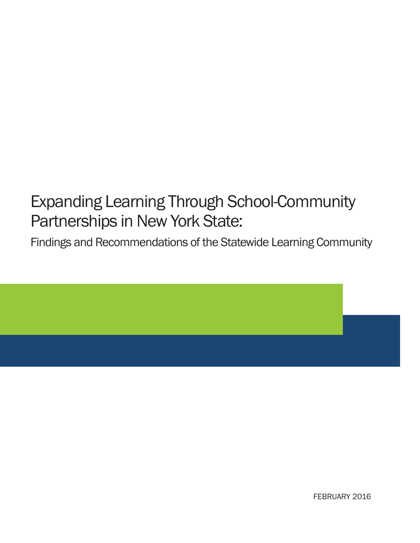# Expanding Learning Through School-Community Partnerships in New York State:

Findings and Recommendations of the Statewide Learning Community



FEBRUARY 2016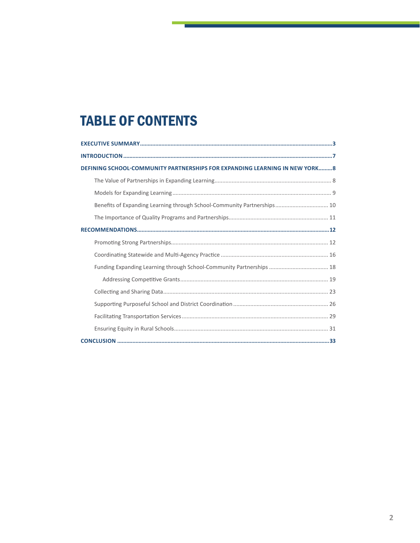## **TABLE OF CONTENTS**

| DEFINING SCHOOL-COMMUNITY PARTNERSHIPS FOR EXPANDING LEARNING IN NEW YORK8 |  |
|----------------------------------------------------------------------------|--|
|                                                                            |  |
|                                                                            |  |
| Benefits of Expanding Learning through School-Community Partnerships 10    |  |
|                                                                            |  |
|                                                                            |  |
|                                                                            |  |
|                                                                            |  |
| Funding Expanding Learning through School-Community Partnerships  18       |  |
|                                                                            |  |
|                                                                            |  |
|                                                                            |  |
|                                                                            |  |
|                                                                            |  |
|                                                                            |  |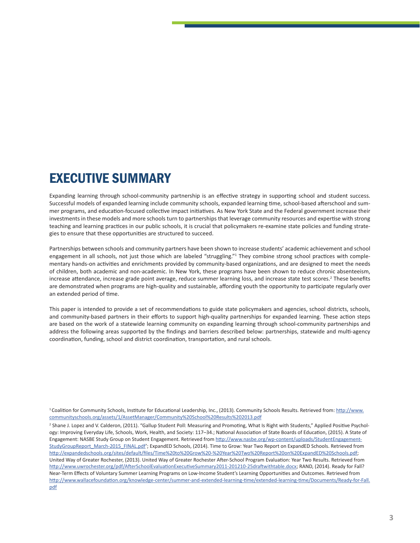### EXECUTIVE SUMMARY

Expanding learning through school-community partnership is an effective strategy in supporting school and student success. Successful models of expanded learning include community schools, expanded learning time, school-based afterschool and summer programs, and education-focused collective impact initiatives. As New York State and the Federal government increase their investments in these models and more schools turn to partnerships that leverage community resources and expertise with strong teaching and learning practices in our public schools, it is crucial that policymakers re-examine state policies and funding strategies to ensure that these opportunities are structured to succeed.

Partnerships between schools and community partners have been shown to increase students' academic achievement and school engagement in all schools, not just those which are labeled "struggling."<sup>1</sup> They combine strong school practices with complementary hands-on activities and enrichments provided by community-based organizations, and are designed to meet the needs of children, both academic and non-academic. In New York, these programs have been shown to reduce chronic absenteeism, increase attendance, increase grade point average, reduce summer learning loss, and increase state test scores.<sup>2</sup> These benefits are demonstrated when programs are high-quality and sustainable, affording youth the opportunity to participate regularly over an extended period of time.

This paper is intended to provide a set of recommendations to guide state policymakers and agencies, school districts, schools, and community-based partners in their efforts to support high-quality partnerships for expanded learning. These action steps are based on the work of a statewide learning community on expanding learning through school-community partnerships and address the following areas supported by the findings and barriers described below: partnerships, statewide and multi-agency coordination, funding, school and district coordination, transportation, and rural schools.

<sup>1</sup>Coalition for Community Schools, Institute for Educational Leadership, Inc., (2013). Community Schools Results. Retrieved from: http://www. communityschools.org/assets/1/AssetManager/Community%20School%20Results%202013.pdf

<sup>2</sup> Shane J. Lopez and V. Calderon, (2011). "Gallup Student Poll: Measuring and Promoting, What Is Right with Students," Applied Positive Psychology: Improving Everyday Life, Schools, Work, Health, and Society: 117–34.; National Association of State Boards of Education, (2015). A State of Engagement: NASBE Study Group on Student Engagement. Retrieved from http://www.nasbe.org/wp-content/uploads/StudentEngagement-StudyGroupReport\_March-2015\_FINAL.pdf'; ExpandED Schools, (2014). Time to Grow: Year Two Report on ExpandED Schools. Retrieved from http://expandedschools.org/sites/default/files/Time%20to%20Grow%20-%20Year%20Two%20Report%20on%20ExpandED%20Schools.pdf; United Way of Greater Rochester, (2013). United Way of Greater Rochester After-School Program Evaluation: Year Two Results. Retrieved from http://www.uwrochester.org/pdf/AfterSchoolEvaluationExecutiveSummary2011-201210-25draftwithtable.docx; RAND, (2014). Ready for Fall? Near-Term Effects of Voluntary Summer Learning Programs on Low-Income Student's Learning Opportunities and Outcomes. Retrieved from http://www.wallacefoundation.org/knowledge-center/summer-and-extended-learning-time/extended-learning-time/Documents/Ready-for-Fall. pdf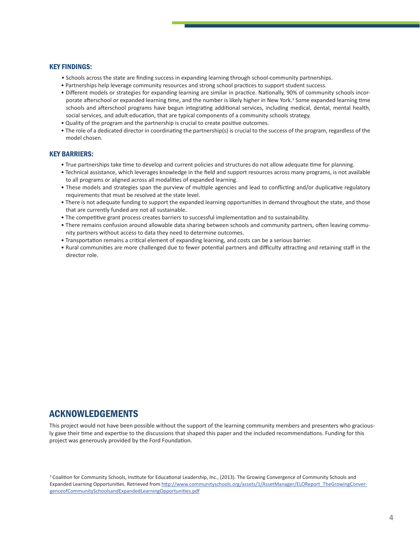#### KEY FINDINGS:

- Schools across the state are finding success in expanding learning through school-community partnerships.
- Partnerships help leverage community resources and strong school practices to support student success.
- Different models or strategies for expanding learning are similar in practice. Nationally, 90% of community schools incorporate afterschool or expanded learning time, and the number is likely higher in New York.<sup>3</sup> Some expanded learning time schools and afterschool programs have begun integrating additional services, including medical, dental, mental health, social services, and adult education, that are typical components of a community schools strategy.
- Quality of the program and the partnership is crucial to create positive outcomes.
- The role of a dedicated director in coordinating the partnership(s) is crucial to the success of the program, regardless of the model chosen.

#### KEY BARRIERS:

- True partnerships take time to develop and current policies and structures do not allow adequate time for planning.
- Technical assistance, which leverages knowledge in the field and support resources across many programs, is not available to all programs or aligned across all modalities of expanded learning.
- These models and strategies span the purview of multiple agencies and lead to conflicting and/or duplicative regulatory requirements that must be resolved at the state level.
- There is not adequate funding to support the expanded learning opportunities in demand throughout the state, and those that are currently funded are not all sustainable.
- The competitive grant process creates barriers to successful implementation and to sustainability.
- There remains confusion around allowable data sharing between schools and community partners, often leaving community partners without access to data they need to determine outcomes.
- Transportation remains a critical element of expanding learning, and costs can be a serious barrier.
- Rural communities are more challenged due to fewer potential partners and difficulty attracting and retaining staff in the director role.

#### ACKNOWLEDGEMENTS

This project would not have been possible without the support of the learning community members and presenters who graciously gave their time and expertise to the discussions that shaped this paper and the included recommendations. Funding for this project was generously provided by the Ford Foundation.

<sup>&</sup>lt;sup>3</sup> Coalition for Community Schools, Institute for Educational Leadership, Inc., (2013). The Growing Convergence of Community Schools and Expanded Learning Opportunities. Retrieved from http://www.communityschools.org/assets/1/AssetManager/ELOReport\_TheGrowingConvergenceofCommunitySchoolsandExpandedLearningOpportunities.pdf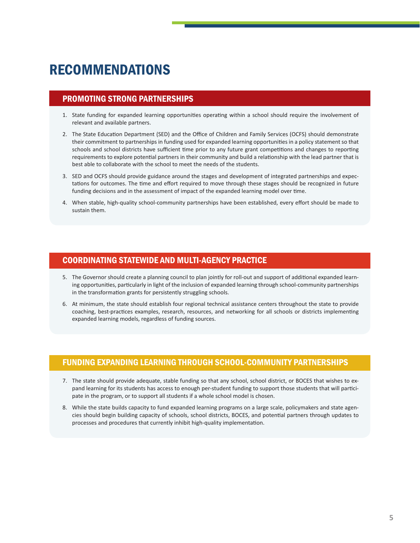### RECOMMENDATIONS

#### PROMOTING STRONG PARTNERSHIPS

- 1. State funding for expanded learning opportunities operating within a school should require the involvement of relevant and available partners.
- 2. The State Education Department (SED) and the Office of Children and Family Services (OCFS) should demonstrate their commitment to partnerships in funding used for expanded learning opportunities in a policy statement so that schools and school districts have sufficient time prior to any future grant competitions and changes to reporting requirements to explore potential partners in their community and build a relationship with the lead partner that is best able to collaborate with the school to meet the needs of the students.
- 3. SED and OCFS should provide guidance around the stages and development of integrated partnerships and expectations for outcomes. The time and effort required to move through these stages should be recognized in future funding decisions and in the assessment of impact of the expanded learning model over time.
- 4. When stable, high-quality school-community partnerships have been established, every effort should be made to sustain them.

#### COORDINATING STATEWIDE AND MULTI-AGENCY PRACTICE

- 5. The Governor should create a planning council to plan jointly for roll-out and support of additional expanded learning opportunities, particularly in light of the inclusion of expanded learning through school-community partnerships in the transformation grants for persistently struggling schools.
- 6. At minimum, the state should establish four regional technical assistance centers throughout the state to provide coaching, best-practices examples, research, resources, and networking for all schools or districts implementing expanded learning models, regardless of funding sources.

#### FUNDING EXPANDING LEARNING THROUGH SCHOOL-COMMUNITY PARTNERSHIPS

- 7. The state should provide adequate, stable funding so that any school, school district, or BOCES that wishes to expand learning for its students has access to enough per-student funding to support those students that will participate in the program, or to support all students if a whole school model is chosen.
- 8. While the state builds capacity to fund expanded learning programs on a large scale, policymakers and state agencies should begin building capacity of schools, school districts, BOCES, and potential partners through updates to processes and procedures that currently inhibit high-quality implementation.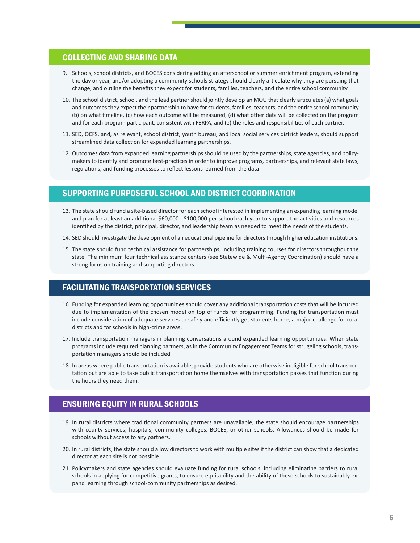#### COLLECTING AND SHARING DATA

- 9. Schools, school districts, and BOCES considering adding an afterschool or summer enrichment program, extending the day or year, and/or adopting a community schools strategy should clearly articulate why they are pursuing that change, and outline the benefits they expect for students, families, teachers, and the entire school community.
- 10. The school district, school, and the lead partner should jointly develop an MOU that clearly articulates (a) what goals and outcomes they expect their partnership to have for students, families, teachers, and the entire school community (b) on what timeline, (c) how each outcome will be measured, (d) what other data will be collected on the program and for each program participant, consistent with FERPA, and (e) the roles and responsibilities of each partner.
- 11. SED, OCFS, and, as relevant, school district, youth bureau, and local social services district leaders, should support streamlined data collection for expanded learning partnerships.
- 12. Outcomes data from expanded learning partnerships should be used by the partnerships, state agencies, and policymakers to identify and promote best-practices in order to improve programs, partnerships, and relevant state laws, regulations, and funding processes to reflect lessons learned from the data

#### SUPPORTING PURPOSEFUL SCHOOL AND DISTRICT COORDINATION

- 13. The state should fund a site-based director for each school interested in implementing an expanding learning model and plan for at least an additional \$60,000 - \$100,000 per school each year to support the activities and resources identified by the district, principal, director, and leadership team as needed to meet the needs of the students.
- 14. SED should investigate the development of an educational pipeline for directors through higher education institutions.
- 15. The state should fund technical assistance for partnerships, including training courses for directors throughout the state. The minimum four technical assistance centers (see Statewide & Multi-Agency Coordination) should have a strong focus on training and supporting directors.

#### FACILITATING TRANSPORTATION SERVICES

- 16. Funding for expanded learning opportunities should cover any additional transportation costs that will be incurred due to implementation of the chosen model on top of funds for programming. Funding for transportation must include consideration of adequate services to safely and efficiently get students home, a major challenge for rural districts and for schools in high-crime areas.
- 17. Include transportation managers in planning conversations around expanded learning opportunities. When state programs include required planning partners, as in the Community Engagement Teams for struggling schools, transportation managers should be included.
- 18. In areas where public transportation is available, provide students who are otherwise ineligible for school transportation but are able to take public transportation home themselves with transportation passes that function during the hours they need them.

#### ENSURING EQUITY IN RURAL SCHOOLS

- 19. In rural districts where traditional community partners are unavailable, the state should encourage partnerships with county services, hospitals, community colleges, BOCES, or other schools. Allowances should be made for schools without access to any partners.
- 20. In rural districts, the state should allow directors to work with multiple sites if the district can show that a dedicated director at each site is not possible.
- 21. Policymakers and state agencies should evaluate funding for rural schools, including eliminating barriers to rural schools in applying for competitive grants, to ensure equitability and the ability of these schools to sustainably expand learning through school-community partnerships as desired.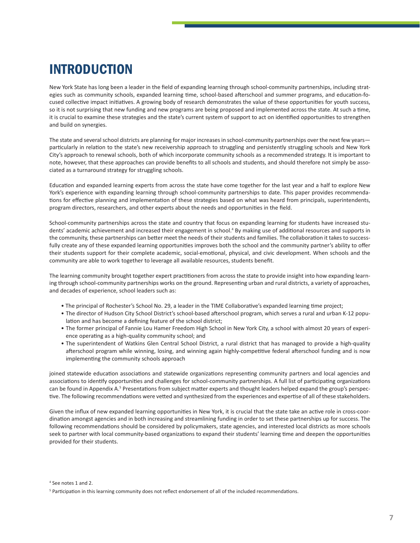## INTRODUCTION

New York State has long been a leader in the field of expanding learning through school-community partnerships, including strategies such as community schools, expanded learning time, school-based afterschool and summer programs, and education-focused collective impact initiatives. A growing body of research demonstrates the value of these opportunities for youth success, so it is not surprising that new funding and new programs are being proposed and implemented across the state. At such a time, it is crucial to examine these strategies and the state's current system of support to act on identified opportunities to strengthen and build on synergies.

The state and several school districts are planning for major increases in school-community partnerships over the next few years particularly in relation to the state's new receivership approach to struggling and persistently struggling schools and New York City's approach to renewal schools, both of which incorporate community schools as a recommended strategy. It is important to note, however, that these approaches can provide benefits to all schools and students, and should therefore not simply be associated as a turnaround strategy for struggling schools.

Education and expanded learning experts from across the state have come together for the last year and a half to explore New York's experience with expanding learning through school-community partnerships to date. This paper provides recommendations for effective planning and implementation of these strategies based on what was heard from principals, superintendents, program directors, researchers, and other experts about the needs and opportunities in the field.

School-community partnerships across the state and country that focus on expanding learning for students have increased students' academic achievement and increased their engagement in school.4 By making use of additional resources and supports in the community, these partnerships can better meet the needs of their students and families. The collaboration it takes to successfully create any of these expanded learning opportunities improves both the school and the community partner's ability to offer their students support for their complete academic, social-emotional, physical, and civic development. When schools and the community are able to work together to leverage all available resources, students benefit.

The learning community brought together expert practitioners from across the state to provide insight into how expanding learning through school-community partnerships works on the ground. Representing urban and rural districts, a variety of approaches, and decades of experience, school leaders such as:

- The principal of Rochester's School No. 29, a leader in the TIME Collaborative's expanded learning time project;
- The director of Hudson City School District's school-based afterschool program, which serves a rural and urban K-12 population and has become a defining feature of the school district;
- • The former principal of Fannie Lou Hamer Freedom High School in New York City, a school with almost 20 years of experience operating as a high-quality community school; and
- The superintendent of Watkins Glen Central School District, a rural district that has managed to provide a high-quality afterschool program while winning, losing, and winning again highly-competitive federal afterschool funding and is now implementing the community schools approach

joined statewide education associations and statewide organizations representing community partners and local agencies and associations to identify opportunities and challenges for school-community partnerships. A full list of participating organizations can be found in Appendix A.<sup>5</sup> Presentations from subject matter experts and thought leaders helped expand the group's perspective. The following recommendations were vetted and synthesized from the experiences and expertise of all of these stakeholders.

Given the influx of new expanded learning opportunities in New York, it is crucial that the state take an active role in cross-coordination amongst agencies and in both increasing and streamlining funding in order to set these partnerships up for success. The following recommendations should be considered by policymakers, state agencies, and interested local districts as more schools seek to partner with local community-based organizations to expand their students' learning time and deepen the opportunities provided for their students.

<sup>4</sup> See notes 1 and 2.

<sup>5</sup> Participation in this learning community does not reflect endorsement of all of the included recommendations.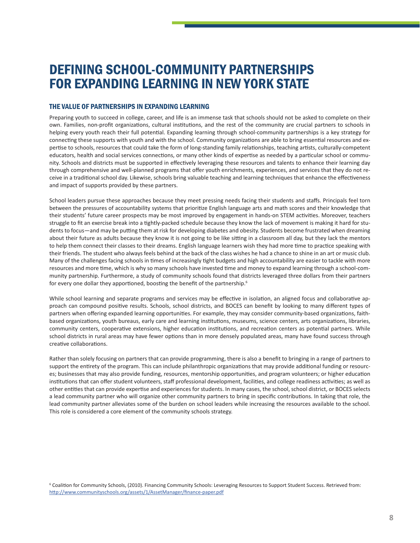### DEFINING SCHOOL-COMMUNITY PARTNERSHIPS FOR EXPANDING LEARNING IN NEW YORK STATE

#### THE VALUE OF PARTNERSHIPS IN EXPANDING LEARNING

Preparing youth to succeed in college, career, and life is an immense task that schools should not be asked to complete on their own. Families, non-profit organizations, cultural institutions, and the rest of the community are crucial partners to schools in helping every youth reach their full potential. Expanding learning through school-community partnerships is a key strategy for connecting these supports with youth and with the school. Community organizations are able to bring essential resources and expertise to schools, resources that could take the form of long-standing family relationships, teaching artists, culturally-competent educators, health and social services connections, or many other kinds of expertise as needed by a particular school or community. Schools and districts must be supported in effectively leveraging these resources and talents to enhance their learning day through comprehensive and well-planned programs that offer youth enrichments, experiences, and services that they do not receive in a traditional school day. Likewise, schools bring valuable teaching and learning techniques that enhance the effectiveness and impact of supports provided by these partners.

School leaders pursue these approaches because they meet pressing needs facing their students and staffs. Principals feel torn between the pressures of accountability systems that prioritize English language arts and math scores and their knowledge that their students' future career prospects may be most improved by engagement in hands-on STEM activities. Moreover, teachers struggle to fit an exercise break into a tightly-packed schedule because they know the lack of movement is making it hard for students to focus—and may be putting them at risk for developing diabetes and obesity. Students become frustrated when dreaming about their future as adults because they know it is not going to be like sitting in a classroom all day, but they lack the mentors to help them connect their classes to their dreams. English language learners wish they had more time to practice speaking with their friends. The student who always feels behind at the back of the class wishes he had a chance to shine in an art or music club. Many of the challenges facing schools in times of increasingly tight budgets and high accountability are easier to tackle with more resources and more time, which is why so many schools have invested time and money to expand learning through a school-community partnership. Furthermore, a study of community schools found that districts leveraged three dollars from their partners for every one dollar they apportioned, boosting the benefit of the partnership.<sup>6</sup>

While school learning and separate programs and services may be effective in isolation, an aligned focus and collaborative approach can compound positive results. Schools, school districts, and BOCES can benefit by looking to many different types of partners when offering expanded learning opportunities. For example, they may consider community-based organizations, faithbased organizations, youth bureaus, early care and learning institutions, museums, science centers, arts organizations, libraries, community centers, cooperative extensions, higher education institutions, and recreation centers as potential partners. While school districts in rural areas may have fewer options than in more densely populated areas, many have found success through creative collaborations.

Rather than solely focusing on partners that can provide programming, there is also a benefit to bringing in a range of partners to support the entirety of the program. This can include philanthropic organizations that may provide additional funding or resources; businesses that may also provide funding, resources, mentorship opportunities, and program volunteers; or higher education institutions that can offer student volunteers, staff professional development, facilities, and college readiness activities; as well as other entities that can provide expertise and experiences for students. In many cases, the school, school district, or BOCES selects a lead community partner who will organize other community partners to bring in specific contributions. In taking that role, the lead community partner alleviates some of the burden on school leaders while increasing the resources available to the school. This role is considered a core element of the community schools strategy.

<sup>6</sup> Coalition for Community Schools, (2010). Financing Community Schools: Leveraging Resources to Support Student Success. Retrieved from: http://www.communityschools.org/assets/1/AssetManager/finance-paper.pdf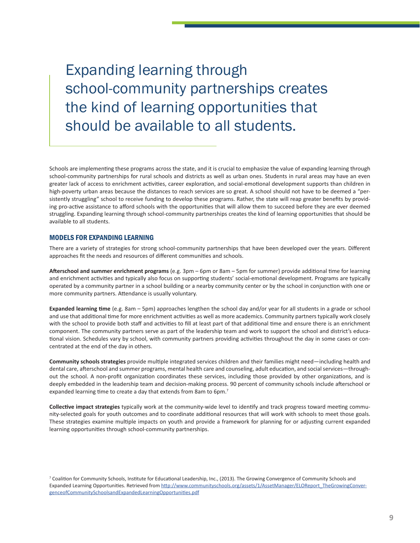Expanding learning through school-community partnerships creates the kind of learning opportunities that should be available to all students.

Schools are implementing these programs across the state, and it is crucial to emphasize the value of expanding learning through school-community partnerships for rural schools and districts as well as urban ones. Students in rural areas may have an even greater lack of access to enrichment activities, career exploration, and social-emotional development supports than children in high-poverty urban areas because the distances to reach services are so great. A school should not have to be deemed a "persistently struggling" school to receive funding to develop these programs. Rather, the state will reap greater benefits by providing pro-active assistance to afford schools with the opportunities that will allow them to succeed before they are ever deemed struggling. Expanding learning through school-community partnerships creates the kind of learning opportunities that should be available to all students.

#### MODELS FOR EXPANDING LEARNING

There are a variety of strategies for strong school-community partnerships that have been developed over the years. Different approaches fit the needs and resources of different communities and schools.

**Afterschool and summer enrichment programs** (e.g. 3pm – 6pm or 8am – 5pm for summer) provide additional time for learning and enrichment activities and typically also focus on supporting students' social-emotional development. Programs are typically operated by a community partner in a school building or a nearby community center or by the school in conjunction with one or more community partners. Attendance is usually voluntary.

**Expanded learning time** (e.g. 8am – 5pm) approaches lengthen the school day and/or year for all students in a grade or school and use that additional time for more enrichment activities as well as more academics. Community partners typically work closely with the school to provide both staff and activities to fill at least part of that additional time and ensure there is an enrichment component. The community partners serve as part of the leadership team and work to support the school and district's educational vision. Schedules vary by school, with community partners providing activities throughout the day in some cases or concentrated at the end of the day in others.

**Community schools strategies** provide multiple integrated services children and their families might need—including health and dental care, afterschool and summer programs, mental health care and counseling, adult education, and social services—throughout the school. A non-profit organization coordinates these services, including those provided by other organizations, and is deeply embedded in the leadership team and decision-making process. 90 percent of community schools include afterschool or expanded learning time to create a day that extends from 8am to 6pm.<sup>7</sup>

**Collective impact strategies** typically work at the community-wide level to identify and track progress toward meeting community-selected goals for youth outcomes and to coordinate additional resources that will work with schools to meet those goals. These strategies examine multiple impacts on youth and provide a framework for planning for or adjusting current expanded learning opportunities through school-community partnerships.

<sup>7</sup> Coalition for Community Schools, Institute for Educational Leadership, Inc., (2013). The Growing Convergence of Community Schools and Expanded Learning Opportunities. Retrieved from http://www.communityschools.org/assets/1/AssetManager/ELOReport\_TheGrowingConvergenceofCommunitySchoolsandExpandedLearningOpportunities.pdf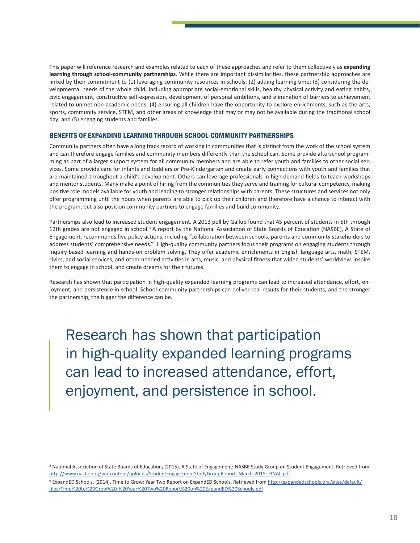This paper will reference research and examples related to each of these approaches and refer to them collectively as **expanding learning through school-community partnerships**. While there are important dissimilarities, these partnership approaches are linked by their commitment to (1) leveraging community resources in schools; (2) adding learning time; (3) considering the developmental needs of the whole child, including appropriate social-emotional skills, healthy physical activity and eating habits, civic engagement, constructive self-expression, development of personal ambitions, and elimination of barriers to achievement related to unmet non-academic needs; (4) ensuring all children have the opportunity to explore enrichments, such as the arts, sports, community service, STEM, and other areas of knowledge that may or may not be available during the traditional school day; and (5) engaging students and families.

#### BENEFITS OF EXPANDING LEARNING THROUGH SCHOOL-COMMUNITY PARTNERSHIPS

Community partners often have a long track record of working in communities that is distinct from the work of the school system and can therefore engage families and community members differently than the school can. Some provide afterschool programming as part of a larger support system for all community members and are able to refer youth and families to other social services. Some provide care for infants and toddlers or Pre-Kindergarten and create early connections with youth and families that are maintained throughout a child's development. Others can leverage professionals in high demand fields to teach workshops and mentor students. Many make a point of hiring from the communities they serve and training for cultural competency, making positive role models available for youth and leading to stronger relationships with parents. These structures and services not only offer programming until the hours when parents are able to pick up their children and therefore have a chance to interact with the program, but also position community partners to engage families and build community.

Partnerships also lead to increased student engagement. A 2013 poll by Gallup found that 45 percent of students in 5th through 12th grades are not engaged in school.<sup>8</sup> A report by the National Association of State Boards of Education (NASBE), A State of Engagement, recommends five policy actions, including "collaboration between schools, parents and community stakeholders to address students' comprehensive needs."<sup>9</sup> High-quality community partners focus their programs on engaging students through inquiry-based learning and hands-on problem solving. They offer academic enrichments in English language arts, math, STEM, civics, and social services, and other needed activities in arts, music, and physical fitness that widen students' worldview, inspire them to engage in school, and create dreams for their futures.

Research has shown that participation in high-quality expanded learning programs can lead to increased attendance, effort, enjoyment, and persistence in school. School-community partnerships can deliver real results for their students, and the stronger the partnership, the bigger the difference can be.

Research has shown that participation in high-quality expanded learning programs can lead to increased attendance, effort, enjoyment, and persistence in school.

<sup>&</sup>lt;sup>8</sup> National Association of State Boards of Education, (2015). A State of Engagement: NASBE Study Group on Student Engagement. Retrieved from http://www.nasbe.org/wp-content/uploads/StudentEngagementStudyGroupReport\_March-2015\_FINAL.pdf

<sup>9</sup> ExpandED Schools, (2014). Time to Grow: Year Two Report on ExpandED Schools. Retrieved from http://expandedschools.org/sites/default/ files/Time%20to%20Grow%20-%20Year%20Two%20Report%20on%20ExpandED%20Schools.pdf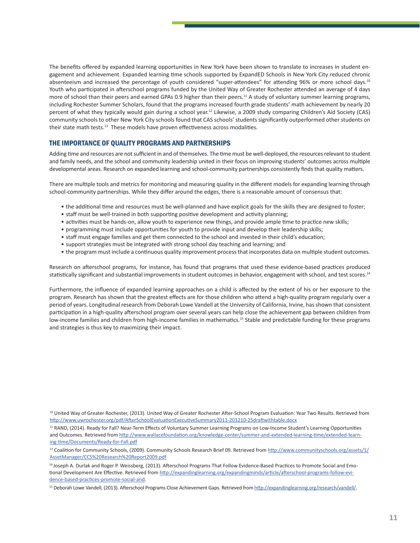The benefits offered by expanded learning opportunities in New York have been shown to translate to increases in student engagement and achievement. Expanded learning time schools supported by ExpandED Schools in New York City reduced chronic absenteeism and increased the percentage of youth considered "super-attendees" for attending 96% or more school days.<sup>10</sup> Youth who participated in afterschool programs funded by the United Way of Greater Rochester attended an average of 4 days more of school than their peers and earned GPAs 0.9 higher than their peers.<sup>11</sup> A study of voluntary summer learning programs, including Rochester Summer Scholars, found that the programs increased fourth grade students' math achievement by nearly 20 percent of what they typically would gain during a school year.<sup>12</sup> Likewise, a 2009 study comparing Children's Aid Society (CAS) community schools to other New York City schools found that CAS schools' students significantly outperformed other students on their state math tests.<sup>13</sup> These models have proven effectiveness across modalities.

#### THE IMPORTANCE OF QUALITY PROGRAMS AND PARTNERSHIPS

Adding time and resources are not sufficient in and of themselves. The time must be well-deployed, the resources relevant to student and family needs, and the school and community leadership united in their focus on improving students' outcomes across multiple developmental areas. Research on expanded learning and school-community partnerships consistently finds that quality matters.

There are multiple tools and metrics for monitoring and measuring quality in the different models for expanding learning through school-community partnerships. While they differ around the edges, there is a reasonable amount of consensus that:

- the additional time and resources must be well-planned and have explicit goals for the skills they are designed to foster;
- • staff must be well-trained in both supporting positive development and activity planning;
- • activities must be hands-on, allow youth to experience new things, and provide ample time to practice new skills;
- • programming must include opportunities for youth to provide input and develop their leadership skills;
- • staff must engage families and get them connected to the school and invested in their child's education;
- support strategies must be integrated with strong school day teaching and learning; and
- • the program must include a continuous quality improvement processthat incorporates data on multiple student outcomes.

Research on afterschool programs, for instance, has found that programs that used these evidence-based practices produced statistically significant and substantial improvements in student outcomes in behavior, engagement with school, and test scores.14

Furthermore, the influence of expanded learning approaches on a child is affected by the extent of his or her exposure to the program. Research has shown that the greatest effects are for those children who attend a high-quality program regularly over a period of years. Longitudinal research from Deborah Lowe Vandell at the University of California, Irvine, hasshown that consistent participation in a high-quality afterschool program over several years can help close the achievement gap between children from low-income families and children from high-income families in mathematics.<sup>15</sup> Stable and predictable funding for these programs and strategies is thus key to maximizing their impact.

<sup>&</sup>lt;sup>10</sup> United Way of Greater Rochester, (2013). United Way of Greater Rochester After-School Program Evaluation: Year Two Results. Retrieved from http://www.uwrochester.org/pdf/AfterSchoolEvaluationExecutiveSummary2011-201210-25draftwithtable.docx

<sup>&</sup>lt;sup>11</sup> RAND, (2014). Ready for Fall? Near-Term Effects of Voluntary Summer Learning Programs on Low-Income Student's Learning Opportunities and Outcomes. Retrieved from http://www.wallacefoundation.org/knowledge-center/summer-and-extended-learning-time/extended-learning-time/Documents/Ready-for-Fall.pdf

<sup>&</sup>lt;sup>13</sup> Coalition for Community Schools, (2009). Community Schools Research Brief 09. Retrieved from http://www.communityschools.org/assets/1/ AssetManager/CCS%20Research%20Report2009.pdf

<sup>&</sup>lt;sup>14</sup> Joseph A. Durlak and Roger P. Weissberg, (2013). Afterschool Programs That Follow Evidence-Based Practices to Promote Social and Emotional Development Are Effective. Retrieved from http://expandinglearning.org/expandingminds/article/afterschool-programs-follow-evidence-based-practices-promote-social-and.

<sup>15</sup> Deborah Lowe Vandell, (2013). Afterschool Programs Close Achievement Gaps. Retrieved from http://expandinglearning.org/research/vandell/.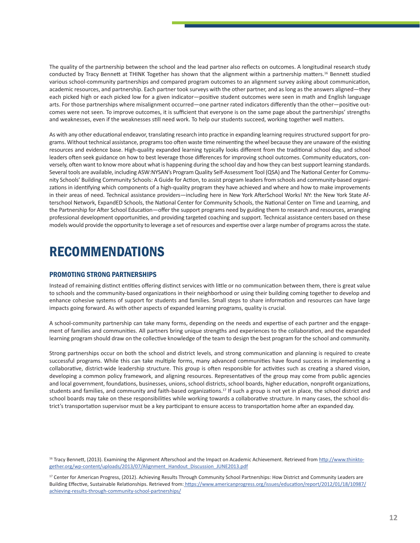The quality of the partnership between the school and the lead partner also reflects on outcomes. A longitudinal research study conducted by Tracy Bennett at THINK Together has shown that the alignment within a partnership matters.<sup>16</sup> Bennett studied various school-community partnerships and compared program outcomes to an alignment survey asking about communication, academic resources, and partnership. Each partner took surveys with the other partner, and as long as the answers aligned—they each picked high or each picked low for a given indicator—positive student outcomes were seen in math and English language arts. For those partnerships where misalignment occurred—one partner rated indicators differently than the other—positive outcomes were not seen. To improve outcomes, it is sufficient that everyone is on the same page about the partnerships' strengths and weaknesses, even if the weaknesses still need work. To help our students succeed, working together well matters.

As with any other educational endeavor, translating research into practice in expanding learning requires structured support for programs. Without technical assistance, programstoo often waste time reinventing the wheel because they are unaware of the existing resources and evidence base. High-quality expanded learning typically looks different from the traditional school day, and school leaders often seek guidance on how to best leverage those differences for improving school outcomes. Community educators, conversely, often want to know more about what is happening during the school day and how they can best support learning standards. Several tools are available, including ASW:NYSAN's Program Quality Self-Assessment Tool (QSA) and The National Center for Community Schools' Building Community Schools: A Guide for Action, to assist program leaders from schools and community-based organizations in identifying which components of a high-quality program they have achieved and where and how to make improvements in their areas of need. Technical assistance providers—including here in New York AfterSchool Works! NY: the New York State Afterschool Network, ExpandED Schools, the National Center for Community Schools, the National Center on Time and Learning, and the Partnership for After School Education—offer the support programs need by guiding them to research and resources, arranging professional development opportunities, and providing targeted coaching and support. Technical assistance centers based on these models would provide the opportunity to leverage a set ofresources and expertise over a large number of programs acrossthe state.

### RECOMMENDATIONS

#### PROMOTING STRONG PARTNERSHIPS

Instead of remaining distinct entities offering distinct services with little or no communication between them, there is great value to schools and the community-based organizations in their neighborhood or using their building coming together to develop and enhance cohesive systems of support for students and families. Small steps to share information and resources can have large impacts going forward. As with other aspects of expanded learning programs, quality is crucial.

A school-community partnership can take many forms, depending on the needs and expertise of each partner and the engagement of families and communities. All partners bring unique strengths and experiences to the collaboration, and the expanded learning program should draw on the collective knowledge of the team to design the best program for the school and community.

Strong partnerships occur on both the school and district levels, and strong communication and planning is required to create successful programs. While this can take multiple forms, many advanced communities have found success in implementing a collaborative, district-wide leadership structure. This group is often responsible for activities such as creating a shared vision, developing a common policy framework, and aligning resources. Representatives of the group may come from public agencies and local government, foundations, businesses, unions, school districts, school boards, higher education, nonprofit organizations, students and families, and community and faith-based organizations.<sup>17</sup> If such a group is not yet in place, the school district and school boards may take on these responsibilities while working towards a collaborative structure. In many cases, the school district's transportation supervisor must be a key participant to ensure access to transportation home after an expanded day.

<sup>&</sup>lt;sup>16</sup> Tracy Bennett, (2013). Examining the Alignment Afterschool and the Impact on Academic Achievement. Retrieved from http://www.thinktogether.org/wp-content/uploads/2013/07/Alignment\_Handout\_Discussion\_JUNE2013.pdf

<sup>&</sup>lt;sup>17</sup> Center for American Progress, (2012). Achieving Results Through Community School Partnerships: How District and Community Leaders are Building Effective, Sustainable Relationships. Retrieved from: https://www.americanprogress.org/issues/education/report/2012/01/18/10987/ achieving-results-through-community-school-partnerships/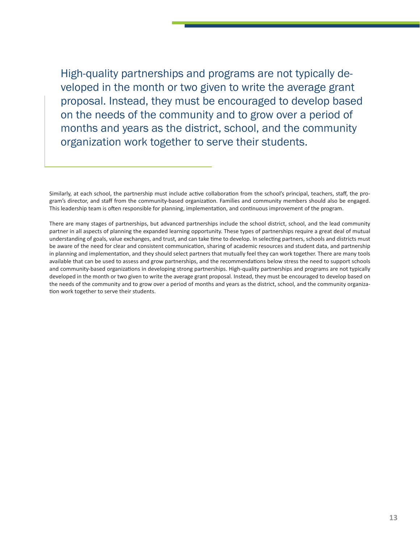High-quality partnerships and programs are not typically developed in the month or two given to write the average grant proposal. Instead, they must be encouraged to develop based on the needs of the community and to grow over a period of months and years as the district, school, and the community organization work together to serve their students.

Similarly, at each school, the partnership must include active collaboration from the school's principal, teachers, staff, the program's director, and staff from the community-based organization. Families and community members should also be engaged. This leadership team is often responsible for planning, implementation, and continuous improvement of the program.

There are many stages of partnerships, but advanced partnerships include the school district, school, and the lead community partner in all aspects of planning the expanded learning opportunity. These types of partnerships require a great deal of mutual understanding of goals, value exchanges, and trust, and can take time to develop. In selecting partners, schools and districts must be aware of the need for clear and consistent communication, sharing of academic resources and student data, and partnership in planning and implementation, and they should select partners that mutually feel they can work together. There are many tools available that can be used to assess and grow partnerships, and the recommendations below stress the need to support schools and community-based organizations in developing strong partnerships. High-quality partnerships and programs are not typically developed in the month or two given to write the average grant proposal. Instead, they must be encouraged to develop based on the needs of the community and to grow over a period of months and years as the district, school, and the community organization work together to serve their students.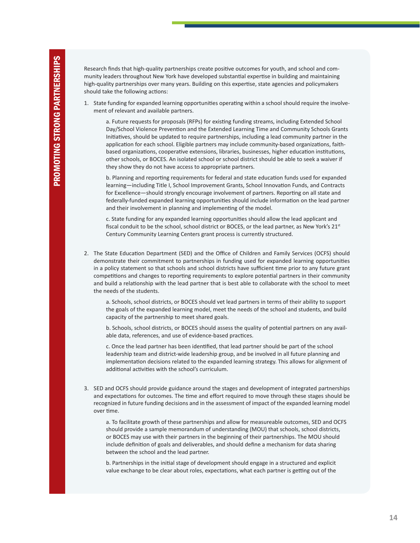Research finds that high-quality partnerships create positive outcomes for youth, and school and community leaders throughout New York have developed substantial expertise in building and maintaining high-quality partnerships over many years. Building on this expertise, state agencies and policymakers should take the following actions:

1. State funding for expanded learning opportunities operating within a school should require the involvement of relevant and available partners.

a. Future requests for proposals (RFPs) for existing funding streams, including Extended School Day/School Violence Prevention and the Extended Learning Time and Community Schools Grants Initiatives, should be updated to require partnerships, including a lead community partner in the application for each school. Eligible partners may include community-based organizations, faithbased organizations, cooperative extensions, libraries, businesses, higher education institutions, other schools, or BOCES. An isolated school or school district should be able to seek a waiver if they show they do not have access to appropriate partners.

b. Planning and reporting requirements for federal and state education funds used for expanded learning—including Title I, School Improvement Grants, School Innovation Funds, and Contracts for Excellence—should strongly encourage involvement of partners. Reporting on all state and federally-funded expanded learning opportunities should include information on the lead partner and their involvement in planning and implementing of the model.

c. State funding for any expanded learning opportunities should allow the lead applicant and fiscal conduit to be the school, school district or BOCES, or the lead partner, as New York's 21<sup>st</sup> Century Community Learning Centers grant process is currently structured.

2. The State Education Department (SED) and the Office of Children and Family Services (OCFS) should demonstrate their commitment to partnerships in funding used for expanded learning opportunities in a policy statement so that schools and school districts have sufficient time prior to any future grant competitions and changes to reporting requirements to explore potential partners in their community and build a relationship with the lead partner that is best able to collaborate with the school to meet the needs of the students.

a. Schools, school districts, or BOCES should vet lead partners in terms of their ability to support the goals of the expanded learning model, meet the needs of the school and students, and build capacity of the partnership to meet shared goals.

b. Schools, school districts, or BOCES should assess the quality of potential partners on any available data, references, and use of evidence-based practices.

c. Once the lead partner has been identified, that lead partner should be part of the school leadership team and district-wide leadership group, and be involved in all future planning and implementation decisions related to the expanded learning strategy. This allows for alignment of additional activities with the school's curriculum.

3. SED and OCFS should provide guidance around the stages and development of integrated partnerships and expectations for outcomes. The time and effort required to move through these stages should be recognized in future funding decisions and in the assessment of impact of the expanded learning model over time.

a. To facilitate growth of these partnerships and allow for measureable outcomes, SED and OCFS should provide a sample memorandum of understanding (MOU) that schools, school districts, or BOCES may use with their partners in the beginning of their partnerships. The MOU should include definition of goals and deliverables, and should define a mechanism for data sharing between the school and the lead partner.

b. Partnerships in the initial stage of development should engage in a structured and explicit value exchange to be clear about roles, expectations, what each partner is getting out of the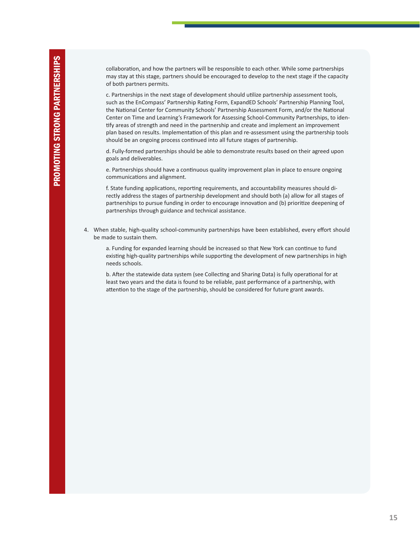collaboration, and how the partners will be responsible to each other. While some partnerships may stay at this stage, partners should be encouraged to develop to the next stage if the capacity of both partners permits.

c. Partnerships in the next stage of development should utilize partnership assessment tools, such as the EnCompass' Partnership Rating Form, ExpandED Schools' Partnership Planning Tool, the National Center for Community Schools' Partnership Assessment Form, and/or the National Center on Time and Learning's Framework for Assessing School-Community Partnerships, to identify areas of strength and need in the partnership and create and implement an improvement plan based on results. Implementation of this plan and re-assessment using the partnership tools should be an ongoing process continued into all future stages of partnership.

d. Fully-formed partnerships should be able to demonstrate results based on their agreed upon goals and deliverables.

e. Partnerships should have a continuous quality improvement plan in place to ensure ongoing communications and alignment.

f. State funding applications, reporting requirements, and accountability measures should directly address the stages of partnership development and should both (a) allow for all stages of partnerships to pursue funding in order to encourage innovation and (b) prioritize deepening of partnerships through guidance and technical assistance.

4. When stable, high-quality school-community partnerships have been established, every effort should be made to sustain them.

a. Funding for expanded learning should be increased so that New York can continue to fund existing high-quality partnerships while supporting the development of new partnerships in high needs schools.

b. After the statewide data system (see Collecting and Sharing Data) is fully operational for at least two years and the data is found to be reliable, past performance of a partnership, with attention to the stage of the partnership, should be considered for future grant awards.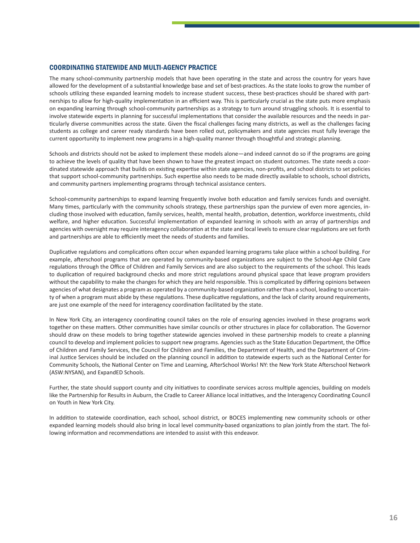#### COORDINATING STATEWIDE AND MULTI-AGENCY PRACTICE

The many school-community partnership models that have been operating in the state and across the country for years have allowed for the development of a substantial knowledge base and set of best-practices. As the state looks to grow the number of schools utilizing these expanded learning models to increase student success, these best-practices should be shared with partnerships to allow for high-quality implementation in an efficient way. This is particularly crucial as the state puts more emphasis on expanding learning through school-community partnerships as a strategy to turn around struggling schools. It is essential to involve statewide experts in planning for successful implementations that consider the available resources and the needs in particularly diverse communities across the state. Given the fiscal challenges facing many districts, as well as the challenges facing students as college and career ready standards have been rolled out, policymakers and state agencies must fully leverage the current opportunity to implement new programs in a high-quality manner through thoughtful and strategic planning.

Schools and districts should not be asked to implement these models alone—and indeed cannot do so if the programs are going to achieve the levels of quality that have been shown to have the greatest impact on student outcomes. The state needs a coordinated statewide approach that builds on existing expertise within state agencies, non-profits, and school districts to set policies that support school-community partnerships. Such expertise also needs to be made directly available to schools, school districts, and community partners implementing programs through technical assistance centers.

School-community partnerships to expand learning frequently involve both education and family services funds and oversight. Many times, particularly with the community schools strategy, these partnerships span the purview of even more agencies, including those involved with education, family services, health, mental health, probation, detention, workforce investments, child welfare, and higher education. Successful implementation of expanded learning in schools with an array of partnerships and agencies with oversight may require interagency collaboration at the state and local levels to ensure clear regulations are set forth and partnerships are able to efficiently meet the needs of students and families.

Duplicative regulations and complications often occur when expanded learning programs take place within a school building. For example, afterschool programs that are operated by community-based organizations are subject to the School-Age Child Care regulations through the Office of Children and Family Services and are also subject to the requirements of the school. This leads to duplication of required background checks and more strict regulations around physical space that leave program providers without the capability to make the changes for which they are held responsible. This is complicated by differing opinions between agencies of what designates a program as operated by a community-based organization rather than a school, leading to uncertainty of when a program must abide by these regulations. These duplicative regulations, and the lack of clarity around requirements, are just one example of the need for interagency coordination facilitated by the state.

In New York City, an interagency coordinating council takes on the role of ensuring agencies involved in these programs work together on these matters. Other communities have similar councils or other structures in place for collaboration. The Governor should draw on these models to bring together statewide agencies involved in these partnership models to create a planning council to develop and implement policiesto support new programs. Agenciessuch asthe State Education Department, the Office of Children and Family Services, the Council for Children and Families, the Department of Health, and the Department of Criminal Justice Services should be included on the planning council in addition to statewide experts such as the National Center for Community Schools, the National Center on Time and Learning, AfterSchool Works! NY: the New York State Afterschool Network (ASW:NYSAN), and ExpandED Schools.

Further, the state should support county and city initiatives to coordinate services across multiple agencies, building on models like the Partnership for Results in Auburn, the Cradle to Career Alliance local initiatives, and the Interagency Coordinating Council on Youth in New York City.

In addition to statewide coordination, each school, school district, or BOCES implementing new community schools or other expanded learning models should also bring in local level community-based organizations to plan jointly from the start. The following information and recommendations are intended to assist with this endeavor.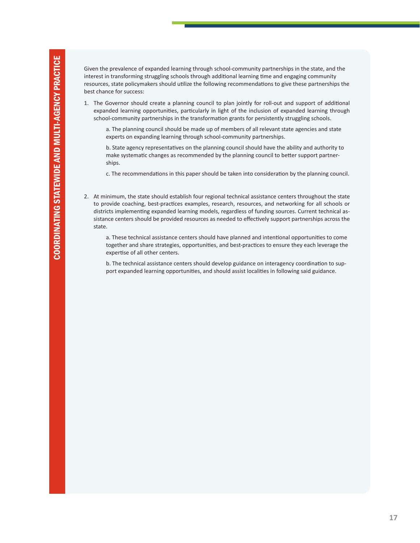Given the prevalence of expanded learning through school-community partnerships in the state, and the interest in transforming struggling schools through additional learning time and engaging community resources, state policymakers should utilize the following recommendations to give these partnerships the best chance for success:

1. The Governor should create a planning council to plan jointly for roll-out and support of additional expanded learning opportunities, particularly in light of the inclusion of expanded learning through school-community partnerships in the transformation grants for persistently struggling schools.

a. The planning council should be made up of members of all relevant state agencies and state experts on expanding learning through school-community partnerships.

b. State agency representatives on the planning council should have the ability and authority to make systematic changes as recommended by the planning council to better support partnerships.

c. The recommendations in this paper should be taken into consideration by the planning council.

2. At minimum, the state should establish four regional technical assistance centers throughout the state to provide coaching, best-practices examples, research, resources, and networking for all schools or districts implementing expanded learning models, regardless of funding sources. Current technical assistance centers should be provided resources as needed to effectively support partnerships across the state.

a. These technical assistance centers should have planned and intentional opportunities to come together and share strategies, opportunities, and best-practices to ensure they each leverage the expertise of all other centers.

b. The technical assistance centers should develop guidance on interagency coordination to support expanded learning opportunities, and should assist localities in following said guidance.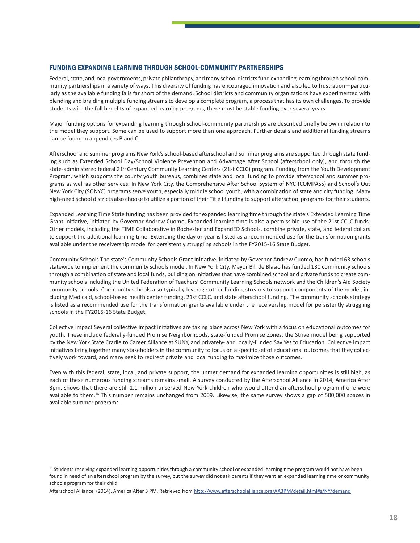#### FUNDING EXPANDING LEARNING THROUGH SCHOOL-COMMUNITY PARTNERSHIPS

Federal, state, and local governments, private philanthropy, and many school districts fund expanding learning through school-community partnerships in a variety of ways. This diversity of funding has encouraged innovation and also led to frustration—particularly as the available funding falls far short of the demand. School districts and community organizations have experimented with blending and braiding multiple funding streams to develop a complete program, a process that has its own challenges. To provide students with the full benefits of expanded learning programs, there must be stable funding over several years.

Major funding options for expanding learning through school-community partnerships are described briefly below in relation to the model they support. Some can be used to support more than one approach. Further details and additional funding streams can be found in appendices B and C.

Afterschool and summer programs New York'sschool-based afterschool and summer programs are supported through state funding such as Extended School Day/School Violence Prevention and Advantage After School (afterschool only), and through the state-administered federal 21<sup>st</sup> Century Community Learning Centers (21st CCLC) program. Funding from the Youth Development Program, which supports the county youth bureaus, combines state and local funding to provide afterschool and summer programs as well as other services. In New York City, the Comprehensive After School System of NYC (COMPASS) and School's Out New York City (SONYC) programs serve youth, especially middle school youth, with a combination of state and city funding. Many high-need school districts also choose to utilize a portion of their Title I funding to support afterschool programs for their students.

Expanded Learning Time State funding has been provided for expanded learning time through the state's Extended Learning Time Grant Initiative, initiated by Governor Andrew Cuomo. Expanded learning time is also a permissible use of the 21st CCLC funds. Other models, including the TIME Collaborative in Rochester and ExpandED Schools, combine private, state, and federal dollars to support the additional learning time. Extending the day or year is listed as a recommended use for the transformation grants available under the receivership model for persistently struggling schools in the FY2015-16 State Budget.

Community Schools The state's Community Schools Grant Initiative, initiated by Governor Andrew Cuomo, has funded 63 schools statewide to implement the community schools model. In New York City, Mayor Bill de Blasio has funded 130 community schools through a combination of state and local funds, building on initiatives that have combined school and private funds to create community schools including the United Federation of Teachers' Community Learning Schools network and the Children's Aid Society community schools. Community schools also typically leverage other funding streams to support components of the model, including Medicaid, school-based health center funding, 21st CCLC, and state afterschool funding. The community schools strategy is listed as a recommended use for the transformation grants available under the receivership model for persistently struggling schools in the FY2015-16 State Budget.

Collective Impact Several collective impact initiatives are taking place across New York with a focus on educational outcomes for youth. These include federally-funded Promise Neighborhoods, state-funded Promise Zones, the Strive model being supported by the New York State Cradle to Career Alliance at SUNY, and privately- and locally-funded Say Yes to Education. Collective impact initiatives bring together many stakeholders in the community to focus on a specific set of educational outcomes that they collectively work toward, and many seek to redirect private and local funding to maximize those outcomes.

Even with this federal, state, local, and private support, the unmet demand for expanded learning opportunities is still high, as each of these numerous funding streams remains small. A survey conducted by the Afterschool Alliance in 2014, America After 3pm, shows that there are still 1.1 million unserved New York children who would attend an afterschool program if one were available to them.<sup>18</sup> This number remains unchanged from 2009. Likewise, the same survey shows a gap of 500,000 spaces in available summer programs.

Afterschool Alliance, (2014). America After 3 PM. Retrieved from http://www.afterschoolalliance.org/AA3PM/detail.html#s/NY/demand

<sup>&</sup>lt;sup>18</sup> Students receiving expanded learning opportunities through a community school or expanded learning time program would not have been found in need of an afterschool program by the survey, but the survey did not ask parents if they want an expanded learning time or community schools program for their child.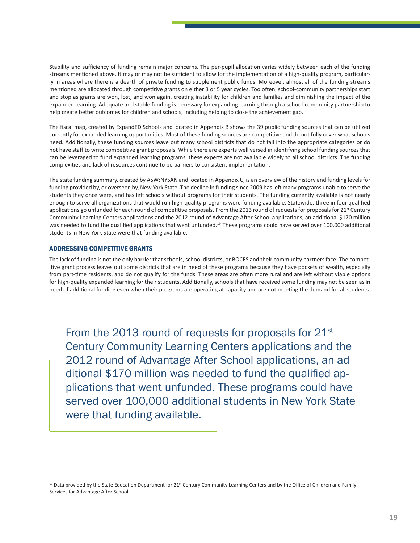Stability and sufficiency of funding remain major concerns. The per-pupil allocation varies widely between each of the funding streams mentioned above. It may or may not be sufficient to allow for the implementation of a high-quality program, particularly in areas where there is a dearth of private funding to supplement public funds. Moreover, almost all of the funding streams mentioned are allocated through competitive grants on either 3 or 5 year cycles. Too often, school-community partnerships start and stop as grants are won, lost, and won again, creating instability for children and families and diminishing the impact of the expanded learning. Adequate and stable funding is necessary for expanding learning through a school-community partnership to help create better outcomes for children and schools, including helping to close the achievement gap.

The fiscal map, created by ExpandED Schools and located in Appendix B shows the 39 public funding sources that can be utilized currently for expanded learning opportunities. Most of these funding sources are competitive and do not fully cover what schools need. Additionally, these funding sources leave out many school districts that do not fall into the appropriate categories or do not have staff to write competitive grant proposals. While there are experts well versed in identifying school funding sources that can be leveraged to fund expanded learning programs, these experts are not available widely to all school districts. The funding complexities and lack of resources continue to be barriers to consistent implementation.

The state funding summary, created by ASW:NYSAN and located in Appendix C, is an overview of the history and funding levels for funding provided by, or overseen by, New York State. The decline in funding since 2009 hasleft many programs unable to serve the students they once were, and has left schools without programs for their students. The funding currently available is not nearly enough to serve all organizations that would run high-quality programs were funding available. Statewide, three in four qualified applications go unfunded for each round of competitive proposals. From the 2013 round of requests for proposals for 21<sup>st</sup> Century Community Learning Centers applications and the 2012 round of Advantage After School applications, an additional \$170 million was needed to fund the qualified applications that went unfunded.<sup>19</sup> These programs could have served over 100,000 additional students in New York State were that funding available.

#### ADDRESSING COMPETITIVE GRANTS

The lack of funding is not the only barrier that schools, school districts, or BOCES and their community partners face. The competitive grant process leaves out some districts that are in need of these programs because they have pockets of wealth, especially from part-time residents, and do not qualify for the funds. These areas are often more rural and are left without viable options for high-quality expanded learning for their students. Additionally, schools that have received some funding may not be seen as in need of additional funding even when their programs are operating at capacity and are not meeting the demand for all students.

From the 2013 round of requests for proposals for 21<sup>st</sup> Century Community Learning Centers applications and the 2012 round of Advantage After School applications, an additional \$170 million was needed to fund the qualified applications that went unfunded. These programs could have served over 100,000 additional students in New York State were that funding available.

<sup>&</sup>lt;sup>19</sup> Data provided by the State Education Department for 21<sup>st</sup> Century Community Learning Centers and by the Office of Children and Family Services for Advantage After School.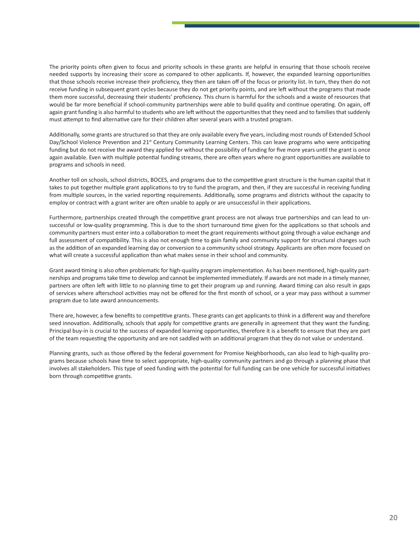The priority points often given to focus and priority schools in these grants are helpful in ensuring that those schools receive needed supports by increasing their score as compared to other applicants. If, however, the expanded learning opportunities that those schools receive increase their proficiency, they then are taken off of the focus or priority list. In turn, they then do not receive funding in subsequent grant cycles because they do not get priority points, and are left without the programs that made them more successful, decreasing their students' proficiency. This churn is harmful for the schools and a waste of resources that would be far more beneficial if school-community partnerships were able to build quality and continue operating. On again, off again grant funding is also harmful to students who are left without the opportunities that they need and to families that suddenly must attempt to find alternative care for their children after several years with a trusted program.

Additionally, some grants are structured so that they are only available every five years, including most rounds of Extended School Day/School Violence Prevention and 21<sup>st</sup> Century Community Learning Centers. This can leave programs who were anticipating funding but do not receive the award they applied for without the possibility of funding for five more years until the grant is once again available. Even with multiple potential funding streams, there are often years where no grant opportunities are available to programs and schools in need.

Another toll on schools, school districts, BOCES, and programs due to the competitive grant structure is the human capital that it takes to put together multiple grant applications to try to fund the program, and then, if they are successful in receiving funding from multiple sources, in the varied reporting requirements. Additionally, some programs and districts without the capacity to employ or contract with a grant writer are often unable to apply or are unsuccessful in their applications.

Furthermore, partnerships created through the competitive grant process are not always true partnerships and can lead to unsuccessful or low-quality programming. This is due to the short turnaround time given for the applications so that schools and community partners must enter into a collaboration to meet the grant requirements without going through a value exchange and full assessment of compatibility. This is also not enough time to gain family and community support for structural changes such as the addition of an expanded learning day or conversion to a community school strategy. Applicants are often more focused on what will create a successful application than what makes sense in their school and community.

Grant award timing is also often problematic for high-quality program implementation. As has been mentioned, high-quality partnerships and programs take time to develop and cannot be implemented immediately. If awards are not made in a timely manner, partners are often left with little to no planning time to get their program up and running. Award timing can also result in gaps of services where afterschool activities may not be offered for the first month of school, or a year may pass without a summer program due to late award announcements.

There are, however, a few benefits to competitive grants. These grants can get applicants to think in a different way and therefore seed innovation. Additionally, schools that apply for competitive grants are generally in agreement that they want the funding. Principal buy-in is crucial to the success of expanded learning opportunities, therefore it is a benefit to ensure that they are part of the team requesting the opportunity and are not saddled with an additional program that they do not value or understand.

Planning grants, such as those offered by the federal government for Promise Neighborhoods, can also lead to high-quality programs because schools have time to select appropriate, high-quality community partners and go through a planning phase that involves all stakeholders. This type of seed funding with the potential for full funding can be one vehicle for successful initiatives born through competitive grants.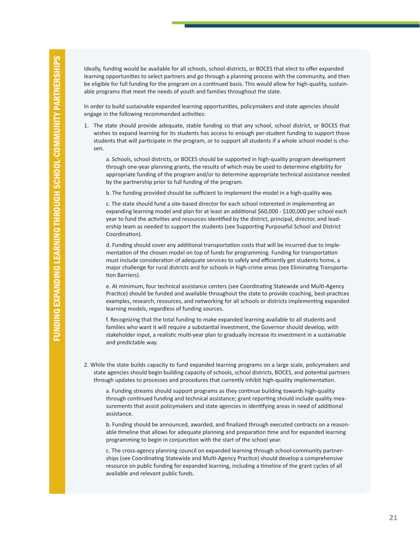Ideally, funding would be available for all schools, school districts, or BOCES that elect to offer expanded learning opportunities to select partners and go through a planning process with the community, and then be eligible for full funding for the program on a continued basis. This would allow for high-quality, sustainable programs that meet the needs of youth and families throughout the state.

In order to build sustainable expanded learning opportunities, policymakers and state agencies should engage in the following recommended activities:

1. The state should provide adequate, stable funding so that any school, school district, or BOCES that wishes to expand learning for its students has access to enough per-student funding to support those students that will participate in the program, or to support all students if a whole school model is chosen.

a. Schools, school districts, or BOCES should be supported in high-quality program development through one-year planning grants, the results of which may be used to determine eligibility for appropriate funding of the program and/or to determine appropriate technical assistance needed by the partnership prior to full funding of the program.

b. The funding provided should be sufficient to implement the model in a high-quality way.

c. The state should fund a site-based director for each school interested in implementing an expanding learning model and plan for at least an additional \$60,000 - \$100,000 per school each year to fund the activities and resources identified by the district, principal, director, and leadership team as needed to support the students (see Supporting Purposeful School and District Coordination).

d. Funding should cover any additional transportation costs that will be incurred due to implementation of the chosen model on top of funds for programming. Funding for transportation must include consideration of adequate services to safely and efficiently get students home, a major challenge for rural districts and for schools in high-crime areas (see Eliminating Transportation Barriers).

e. At minimum, four technical assistance centers (see Coordinating Statewide and Multi-Agency Practice) should be funded and available throughout the state to provide coaching, best-practices examples, research, resources, and networking for all schools or districts implementing expanded learning models, regardless of funding sources.

f. Recognizing that the total funding to make expanded learning available to all students and families who want it will require a substantial investment, the Governor should develop, with stakeholder input, a realistic multi-year plan to gradually increase its investment in a sustainable and predictable way.

2. While the state builds capacity to fund expanded learning programs on a large scale, policymakers and state agencies should begin building capacity of schools, school districts, BOCES, and potential partners through updates to processes and procedures that currently inhibit high-quality implementation.

a. Funding streams should support programs as they continue building towards high-quality through continued funding and technical assistance; grant reporting should include quality measurements that assist policymakers and state agencies in identifying areas in need of additional assistance.

b. Funding should be announced, awarded, and finalized through executed contracts on a reasonable timeline that allows for adequate planning and preparation time and for expanded learning programming to begin in conjunction with the start of the school year.

c. The cross-agency planning council on expanded learning through school-community partnerships (see Coordinating Statewide and Multi-Agency Practice) should develop a comprehensive resource on public funding for expanded learning, including a timeline of the grant cycles of all available and relevant public funds.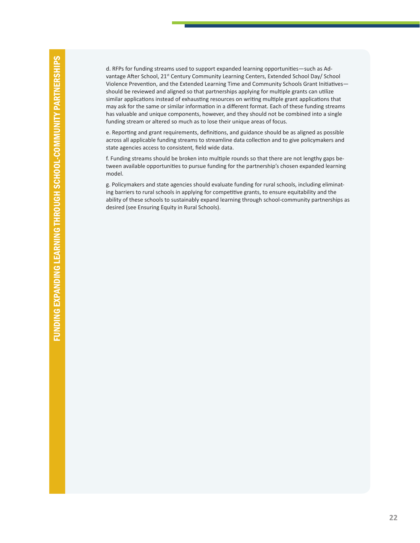d. RFPs for funding streams used to support expanded learning opportunities—such as Advantage After School, 21<sup>st</sup> Century Community Learning Centers, Extended School Day/ School Violence Prevention, and the Extended Learning Time and Community Schools Grant Initiatives should be reviewed and aligned so that partnerships applying for multiple grants can utilize similar applications instead of exhausting resources on writing multiple grant applications that may ask for the same or similar information in a different format. Each of these funding streams has valuable and unique components, however, and they should not be combined into a single funding stream or altered so much as to lose their unique areas of focus.

e. Reporting and grant requirements, definitions, and guidance should be as aligned as possible across all applicable funding streams to streamline data collection and to give policymakers and state agencies access to consistent, field wide data.

f. Funding streams should be broken into multiple rounds so that there are not lengthy gaps between available opportunities to pursue funding for the partnership's chosen expanded learning model.

g. Policymakers and state agencies should evaluate funding for rural schools, including eliminating barriers to rural schools in applying for competitive grants, to ensure equitability and the ability of these schools to sustainably expand learning through school-community partnerships as desired (see Ensuring Equity in Rural Schools).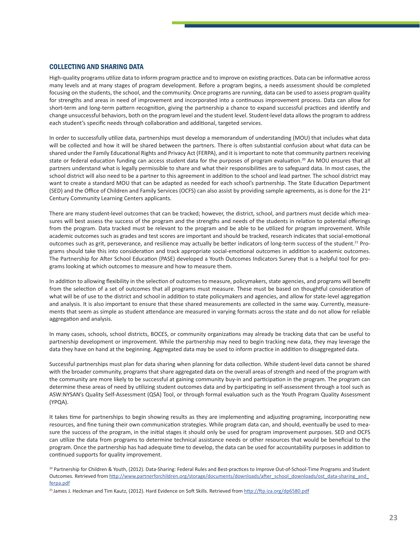#### COLLECTING AND SHARING DATA

High-quality programs utilize data to inform program practice and to improve on existing practices. Data can be informative across many levels and at many stages of program development. Before a program begins, a needs assessment should be completed focusing on the students, the school, and the community. Once programs are running, data can be used to assess program quality for strengths and areas in need of improvement and incorporated into a continuous improvement process. Data can allow for short-term and long-term pattern recognition, giving the partnership a chance to expand successful practices and identify and change unsuccessful behaviors, both on the program level and the student level. Student-level data allowsthe program to address each student's specific needs through collaboration and additional, targeted services.

In order to successfully utilize data, partnerships must develop a memorandum of understanding (MOU) that includes what data will be collected and how it will be shared between the partners. There is often substantial confusion about what data can be shared under the Family Educational Rights and Privacy Act (FERPA), and it is important to note that community partners receiving state or federal education funding can access student data for the purposes of program evaluation.<sup>20</sup> An MOU ensures that all partners understand what is legally permissible to share and what their responsibilities are to safeguard data. In most cases, the school district will also need to be a partner to this agreement in addition to the school and lead partner. The school district may want to create a standard MOU that can be adapted as needed for each school's partnership. The State Education Department (SED) and the Office of Children and Family Services (OCFS) can also assist by providing sample agreements, as is done for the 21<sup>st</sup> Century Community Learning Centers applicants.

There are many student-level outcomes that can be tracked; however, the district, school, and partners must decide which measures will best assess the success of the program and the strengths and needs of the students in relation to potential offerings from the program. Data tracked must be relevant to the program and be able to be utilized for program improvement. While academic outcomes such as grades and test scores are important and should be tracked, research indicates that social-emotional outcomes such as grit, perseverance, and resilience may actually be better indicators of long-term success of the student.21 Programs should take this into consideration and track appropriate social-emotional outcomes in addition to academic outcomes. The Partnership for After School Education (PASE) developed a Youth Outcomes Indicators Survey that is a helpful tool for programs looking at which outcomes to measure and how to measure them.

In addition to allowing flexibility in the selection of outcomes to measure, policymakers, state agencies, and programs will benefit from the selection of a set of outcomes that all programs must measure. These must be based on thoughtful consideration of what will be of use to the district and school in addition to state policymakers and agencies, and allow for state-level aggregation and analysis. It is also important to ensure that these shared measurements are collected in the same way. Currently, measurements that seem as simple as student attendance are measured in varying formats across the state and do not allow for reliable aggregation and analysis.

In many cases, schools, school districts, BOCES, or community organizations may already be tracking data that can be useful to partnership development or improvement. While the partnership may need to begin tracking new data, they may leverage the data they have on hand at the beginning. Aggregated data may be used to inform practice in addition to disaggregated data.

Successful partnerships must plan for data sharing when planning for data collection. While student-level data cannot be shared with the broader community, programs that share aggregated data on the overall areas of strength and need of the program with the community are more likely to be successful at gaining community buy-in and participation in the program. The program can determine these areas of need by utilizing student outcomes data and by participating in self-assessment through a tool such as ASW:NYSAN's Quality Self-Assessment (QSA) Tool, or through formal evaluation such as the Youth Program Quality Assessment (YPQA).

It takes time for partnerships to begin showing results as they are implementing and adjusting programing, incorporating new resources, and fine tuning their own communication strategies. While program data can, and should, eventually be used to measure the success of the program, in the initial stages it should only be used for program improvement purposes. SED and OCFS can utilize the data from programs to determine technical assistance needs or other resources that would be beneficial to the program. Once the partnership has had adequate time to develop, the data can be used for accountability purposes in addition to continued supports for quality improvement.

<sup>20</sup> Partnership for Children & Youth, (2012). Data-Sharing: Federal Rules and Best-practices to Improve Out-of-School-Time Programs and Student Outcomes. Retrieved from http://www.partnerforchildren.org/storage/documents/downloads/after\_school\_downloads/ost\_data-sharing\_and ferpa.pdf

<sup>&</sup>lt;sup>21</sup> James J. Heckman and Tim Kautz, (2012). Hard Evidence on Soft Skills. Retrieved from http://ftp.iza.org/dp6580.pdf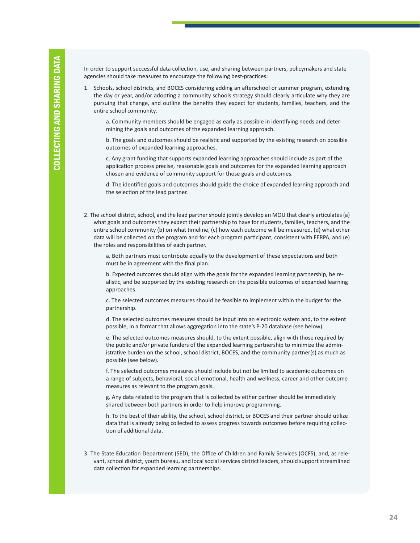In order to support successful data collection, use, and sharing between partners, policymakers and state agencies should take measures to encourage the following best-practices:

1. Schools, school districts, and BOCES considering adding an afterschool or summer program, extending the day or year, and/or adopting a community schools strategy should clearly articulate why they are pursuing that change, and outline the benefits they expect for students, families, teachers, and the entire school community.

a. Community members should be engaged as early as possible in identifying needs and determining the goals and outcomes of the expanded learning approach.

b. The goals and outcomes should be realistic and supported by the existing research on possible outcomes of expanded learning approaches.

c. Any grant funding that supports expanded learning approaches should include as part of the application process precise, reasonable goals and outcomes for the expanded learning approach chosen and evidence of community support for those goals and outcomes.

d. The identified goals and outcomes should guide the choice of expanded learning approach and the selection of the lead partner.

2. The school district, school, and the lead partner should jointly develop an MOU that clearly articulates (a) what goals and outcomes they expect their partnership to have for students, families, teachers, and the entire school community (b) on what timeline, (c) how each outcome will be measured, (d) what other data will be collected on the program and for each program participant, consistent with FERPA, and (e) the roles and responsibilities of each partner.

a. Both partners must contribute equally to the development of these expectations and both must be in agreement with the final plan.

b. Expected outcomes should align with the goals for the expanded learning partnership, be realistic, and be supported by the existing research on the possible outcomes of expanded learning approaches.

c. The selected outcomes measures should be feasible to implement within the budget for the partnership.

d. The selected outcomes measures should be input into an electronic system and, to the extent possible, in a format that allows aggregation into the state's P-20 database (see below).

e. The selected outcomes measures should, to the extent possible, align with those required by the public and/or private funders of the expanded learning partnership to minimize the administrative burden on the school, school district, BOCES, and the community partner(s) as much as possible (see below).

f. The selected outcomes measures should include but not be limited to academic outcomes on a range of subjects, behavioral, social-emotional, health and wellness, career and other outcome measures as relevant to the program goals.

g. Any data related to the program that is collected by either partner should be immediately shared between both partners in order to help improve programming.

h. To the best of their ability, the school, school district, or BOCES and their partner should utilize data that is already being collected to assess progress towards outcomes before requiring collection of additional data.

3. The State Education Department (SED), the Office of Children and Family Services (OCFS), and, as relevant, school district, youth bureau, and local social services district leaders, should support streamlined data collection for expanded learning partnerships.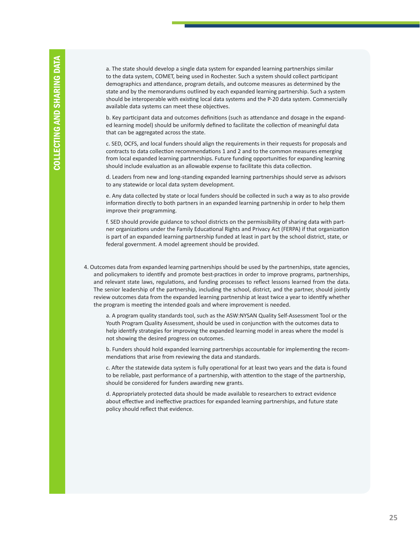a. The state should develop a single data system for expanded learning partnerships similar to the data system, COMET, being used in Rochester. Such a system should collect participant demographics and attendance, program details, and outcome measures as determined by the state and by the memorandums outlined by each expanded learning partnership. Such a system should be interoperable with existing local data systems and the P-20 data system. Commercially available data systems can meet these objectives.

b. Key participant data and outcomes definitions (such as attendance and dosage in the expanded learning model) should be uniformly defined to facilitate the collection of meaningful data that can be aggregated across the state.

c. SED, OCFS, and local funders should align the requirements in their requests for proposals and contracts to data collection recommendations 1 and 2 and to the common measures emerging from local expanded learning partnerships. Future funding opportunities for expanding learning should include evaluation as an allowable expense to facilitate this data collection.

d. Leaders from new and long-standing expanded learning partnerships should serve as advisors to any statewide or local data system development.

e. Any data collected by state or local funders should be collected in such a way as to also provide information directly to both partners in an expanded learning partnership in order to help them improve their programming.

f. SED should provide guidance to school districts on the permissibility of sharing data with partner organizations under the Family Educational Rights and Privacy Act (FERPA) if that organization is part of an expanded learning partnership funded at least in part by the school district, state, or federal government. A model agreement should be provided.

4. Outcomes data from expanded learning partnerships should be used by the partnerships, state agencies, and policymakers to identify and promote best-practices in order to improve programs, partnerships, and relevant state laws, regulations, and funding processes to reflect lessons learned from the data. The senior leadership of the partnership, including the school, district, and the partner, should jointly review outcomes data from the expanded learning partnership at least twice a year to identify whether the program is meeting the intended goals and where improvement is needed.

a. A program quality standards tool, such as the ASW:NYSAN Quality Self-Assessment Tool or the Youth Program Quality Assessment, should be used in conjunction with the outcomes data to help identify strategies for improving the expanded learning model in areas where the model is not showing the desired progress on outcomes.

b. Funders should hold expanded learning partnerships accountable for implementing the recommendations that arise from reviewing the data and standards.

c. After the statewide data system is fully operational for at least two years and the data is found to be reliable, past performance of a partnership, with attention to the stage of the partnership, should be considered for funders awarding new grants.

d. Appropriately protected data should be made available to researchers to extract evidence about effective and ineffective practices for expanded learning partnerships, and future state policy should reflect that evidence.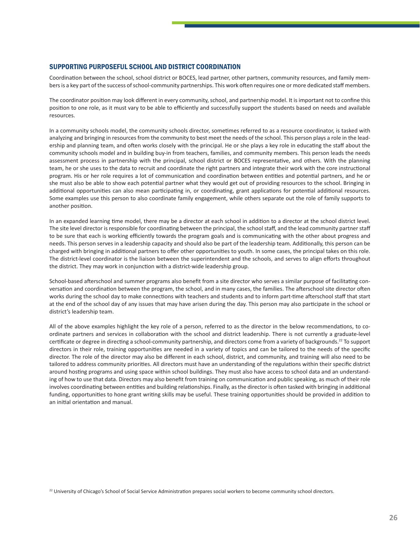#### SUPPORTING PURPOSEFUL SCHOOL AND DISTRICT COORDINATION

Coordination between the school, school district or BOCES, lead partner, other partners, community resources, and family membersis a key part of the success ofschool-community partnerships. This work often requires one or more dedicated staff members.

The coordinator position may look different in every community, school, and partnership model. It is important not to confine this position to one role, as it must vary to be able to efficiently and successfully support the students based on needs and available resources.

In a community schools model, the community schools director, sometimes referred to as a resource coordinator, is tasked with analyzing and bringing in resourcesfrom the community to best meet the needs of the school. This person plays a role in the leadership and planning team, and often works closely with the principal. He or she plays a key role in educating the staff about the community schools model and in building buy-in from teachers, families, and community members. This person leads the needs assessment process in partnership with the principal, school district or BOCES representative, and others. With the planning team, he or she uses to the data to recruit and coordinate the right partners and integrate their work with the core instructional program. His or her role requires a lot of communication and coordination between entities and potential partners, and he or she must also be able to show each potential partner what they would get out of providing resources to the school. Bringing in additional opportunities can also mean participating in, or coordinating, grant applications for potential additional resources. Some examples use this person to also coordinate family engagement, while others separate out the role of family supports to another position.

In an expanded learning time model, there may be a director at each school in addition to a director at the school district level. The site level director is responsible for coordinating between the principal, the school staff, and the lead community partner staff to be sure that each is working efficiently towards the program goals and is communicating with the other about progress and needs. This person serves in a leadership capacity and should also be part of the leadership team. Additionally, this person can be charged with bringing in additional partners to offer other opportunities to youth. In some cases, the principal takes on this role. The district-level coordinator is the liaison between the superintendent and the schools, and serves to align efforts throughout the district. They may work in conjunction with a district-wide leadership group.

School-based afterschool and summer programs also benefit from a site director who serves a similar purpose of facilitating conversation and coordination between the program, the school, and in many cases, the families. The afterschool site director often works during the school day to make connections with teachers and students and to inform part-time afterschool staff that start at the end of the school day of any issues that may have arisen during the day. This person may also participate in the school or district's leadership team.

All of the above examples highlight the key role of a person, referred to as the director in the below recommendations, to coordinate partners and services in collaboration with the school and district leadership. There is not currently a graduate-level certificate or degree in directing a school-community partnership, and directors come from a variety of backgrounds.<sup>22</sup> To support directors in their role, training opportunities are needed in a variety of topics and can be tailored to the needs of the specific director. The role of the director may also be different in each school, district, and community, and training will also need to be tailored to address community priorities. All directors must have an understanding of the regulations within their specific district around hosting programs and using space within school buildings. They must also have access to school data and an understanding of how to use that data. Directors may also benefit from training on communication and public speaking, as much of their role involves coordinating between entities and building relationships. Finally, asthe director is often tasked with bringing in additional funding, opportunities to hone grant writing skills may be useful. These training opportunities should be provided in addition to an initial orientation and manual.

<sup>22</sup> University of Chicago's School of Social Service Administration prepares social workers to become community school directors.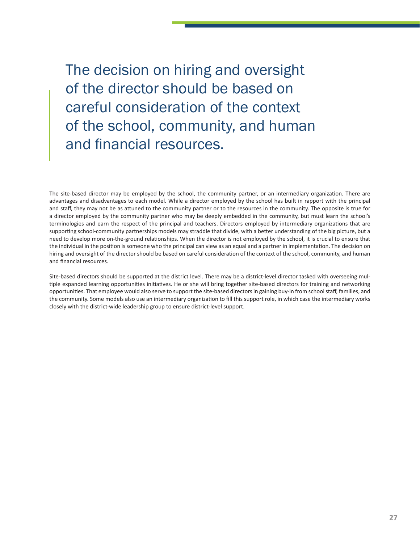The decision on hiring and oversight of the director should be based on careful consideration of the context of the school, community, and human and financial resources.

The site-based director may be employed by the school, the community partner, or an intermediary organization. There are advantages and disadvantages to each model. While a director employed by the school has built in rapport with the principal and staff, they may not be as attuned to the community partner or to the resources in the community. The opposite is true for a director employed by the community partner who may be deeply embedded in the community, but must learn the school's terminologies and earn the respect of the principal and teachers. Directors employed by intermediary organizations that are supporting school-community partnerships models may straddle that divide, with a better understanding of the big picture, but a need to develop more on-the-ground relationships. When the director is not employed by the school, it is crucial to ensure that the individual in the position is someone who the principal can view as an equal and a partner in implementation. The decision on hiring and oversight of the director should be based on careful consideration of the context of the school, community, and human and financial resources.

Site-based directors should be supported at the district level. There may be a district-level director tasked with overseeing multiple expanded learning opportunities initiatives. He or she will bring together site-based directors for training and networking opportunities. That employee would also serve to support the site-based directorsin gaining buy-in from schoolstaff, families, and the community. Some models also use an intermediary organization to fill this support role, in which case the intermediary works closely with the district-wide leadership group to ensure district-level support.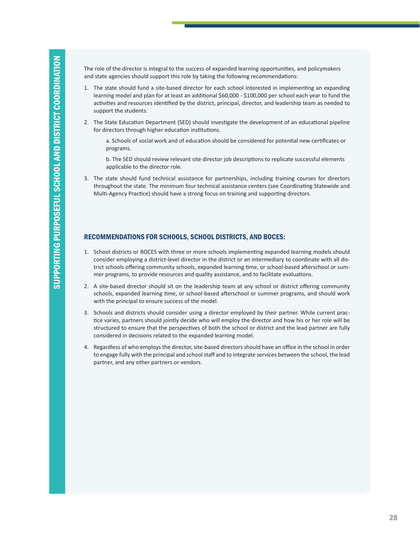The role of the director is integral to the success of expanded learning opportunities, and policymakers and state agencies should support this role by taking the following recommendations:

- 1. The state should fund a site-based director for each school interested in implementing an expanding learning model and plan for at least an additional \$60,000 - \$100,000 per school each year to fund the activities and resources identified by the district, principal, director, and leadership team as needed to support the students.
- 2. The State Education Department (SED) should investigate the development of an educational pipeline for directors through higher education institutions.

a. Schools of social work and of education should be considered for potential new certificates or programs.

b. The SED should review relevant site director job descriptions to replicate successful elements applicable to the director role.

3. The state should fund technical assistance for partnerships, including training courses for directors throughout the state. The minimum four technical assistance centers (see Coordinating Statewide and Multi-Agency Practice) should have a strong focus on training and supporting directors.

#### RECOMMENDATIONS FOR SCHOOLS, SCHOOL DISTRICTS, AND BOCES:

- 1. School districts or BOCES with three or more schools implementing expanded learning models should consider employing a district-level director in the district or an intermediary to coordinate with all district schools offering community schools, expanded learning time, or school-based afterschool or summer programs, to provide resources and quality assistance, and to facilitate evaluations.
- 2. A site-based director should sit on the leadership team at any school or district offering community schools, expanded learning time, or school-based afterschool or summer programs, and should work with the principal to ensure success of the model.
- 3. Schools and districts should consider using a director employed by their partner. While current practice varies, partners should jointly decide who will employ the director and how his or her role will be structured to ensure that the perspectives of both the school or district and the lead partner are fully considered in decisions related to the expanded learning model.
- 4. Regardless of who employs the director, site-based directors should have an office in the school in order to engage fully with the principal and school staff and to integrate services between the school, the lead partner, and any other partners or vendors.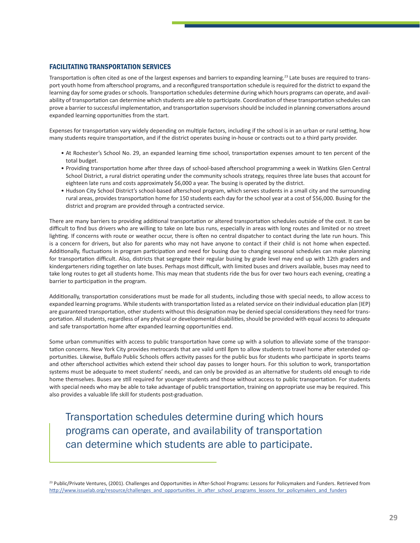#### FACILITATING TRANSPORTATION SERVICES

Transportation is often cited as one of the largest expenses and barriers to expanding learning.<sup>23</sup> Late buses are required to transport youth home from afterschool programs, and a reconfigured transportation schedule is required for the district to expand the learning day for some grades or schools. Transportation schedules determine during which hours programs can operate, and availability of transportation can determine which students are able to participate. Coordination of these transportation schedules can prove a barrier to successful implementation, and transportation supervisorsshould be included in planning conversations around expanded learning opportunities from the start.

Expenses for transportation vary widely depending on multiple factors, including if the school is in an urban or rural setting, how many students require transportation, and if the district operates busing in-house or contracts out to a third party provider.

- • At Rochester's School No. 29, an expanded learning time school, transportation expenses amount to ten percent of the total budget.
- • Providing transportation home after three days of school-based afterschool programming a week in Watkins Glen Central School District, a rural district operating under the community schools strategy, requires three late buses that account for eighteen late runs and costs approximately \$6,000 a year. The busing is operated by the district.
- Hudson City School District's school-based afterschool program, which serves students in a small city and the surrounding rural areas, provides transportation home for 150 students each day for the school year at a cost of \$56,000. Busing for the district and program are provided through a contracted service.

There are many barriers to providing additional transportation or altered transportation schedules outside of the cost. It can be difficult to find bus drivers who are willing to take on late bus runs, especially in areas with long routes and limited or no street lighting. If concerns with route or weather occur, there is often no central dispatcher to contact during the late run hours. This is a concern for drivers, but also for parents who may not have anyone to contact if their child is not home when expected. Additionally, fluctuations in program participation and need for busing due to changing seasonal schedules can make planning for transportation difficult. Also, districts that segregate their regular busing by grade level may end up with 12th graders and kindergarteners riding together on late buses. Perhaps most difficult, with limited buses and drivers available, buses may need to take long routes to get all students home. This may mean that students ride the bus for over two hours each evening, creating a barrier to participation in the program.

Additionally, transportation considerations must be made for all students, including those with special needs, to allow access to expanded learning programs. While students with transportation listed as a related service on their individual education plan (IEP) are guaranteed transportation, other students without this designation may be denied special considerations they need for transportation. All students, regardless of any physical or developmental disabilities, should be provided with equal accessto adequate and safe transportation home after expanded learning opportunities end.

Some urban communities with access to public transportation have come up with a solution to alleviate some of the transportation concerns. New York City provides metrocards that are valid until 8pm to allow students to travel home after extended opportunities. Likewise, Buffalo Public Schools offers activity passes for the public bus for students who participate in sports teams and other afterschool activities which extend their school day passes to longer hours. For this solution to work, transportation systems must be adequate to meet students' needs, and can only be provided as an alternative for students old enough to ride home themselves. Buses are still required for younger students and those without access to public transportation. For students with special needs who may be able to take advantage of public transportation, training on appropriate use may be required. This also provides a valuable life skill for students post-graduation.

Transportation schedules determine during which hours programs can operate, and availability of transportation can determine which students are able to participate.

<sup>23</sup> Public/Private Ventures, (2001). Challenges and Opportunities in After-School Programs: Lessons for Policymakers and Funders. Retrieved from http://www.issuelab.org/resource/challenges\_and\_opportunities\_in\_after\_school\_programs\_lessons\_for\_policymakers\_and\_funders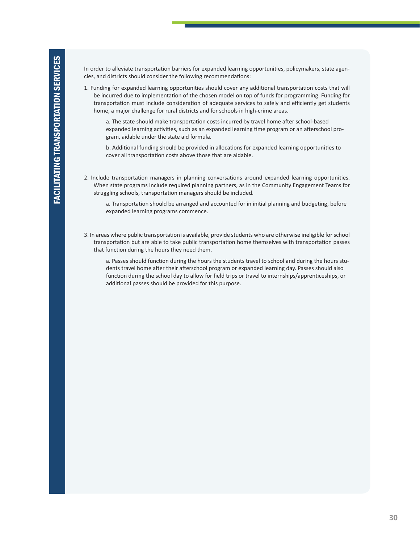In order to alleviate transportation barriers for expanded learning opportunities, policymakers, state agencies, and districts should consider the following recommendations:

1. Funding for expanded learning opportunities should cover any additional transportation costs that will be incurred due to implementation of the chosen model on top of funds for programming. Funding for transportation must include consideration of adequate services to safely and efficiently get students home, a major challenge for rural districts and for schools in high-crime areas.

a. The state should make transportation costs incurred by travel home after school-based expanded learning activities, such as an expanded learning time program or an afterschool program, aidable under the state aid formula.

b. Additional funding should be provided in allocations for expanded learning opportunities to cover all transportation costs above those that are aidable.

2. Include transportation managers in planning conversations around expanded learning opportunities. When state programs include required planning partners, as in the Community Engagement Teams for struggling schools, transportation managers should be included.

3. In areas where public transportation is available, provide students who are otherwise ineligible forschool transportation but are able to take public transportation home themselves with transportation passes that function during the hours they need them.

a. Passes should function during the hours the students travel to school and during the hours students travel home after their afterschool program or expanded learning day. Passes should also function during the school day to allow for field trips or travel to internships/apprenticeships, or additional passes should be provided for this purpose.

a. Transportation should be arranged and accounted for in initial planning and budgeting, before expanded learning programs commence.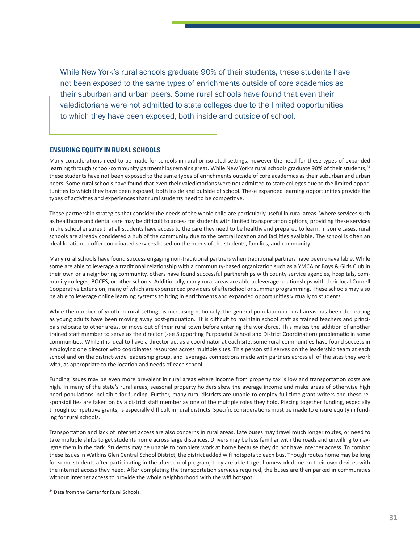While New York's rural schools graduate 90% of their students, these students have not been exposed to the same types of enrichments outside of core academics as their suburban and urban peers. Some rural schools have found that even their valedictorians were not admitted to state colleges due to the limited opportunities to which they have been exposed, both inside and outside of school.

#### ENSURING EQUITY IN RURAL SCHOOLS

Many considerations need to be made for schools in rural or isolated settings, however the need for these types of expanded learning through school-community partnerships remains great. While New York's rural schools graduate 90% of their students,<sup>24</sup> these students have not been exposed to the same types of enrichments outside of core academics as their suburban and urban peers. Some rural schools have found that even their valedictorians were not admitted to state colleges due to the limited opportunities to which they have been exposed, both inside and outside of school. These expanded learning opportunities provide the types of activities and experiences that rural students need to be competitive.

These partnership strategies that consider the needs of the whole child are particularly useful in rural areas. Where services such as healthcare and dental care may be difficult to access for students with limited transportation options, providing these services in the school ensures that all students have access to the care they need to be healthy and prepared to learn. In some cases, rural schools are already considered a hub of the community due to the central location and facilities available. The school is often an ideal location to offer coordinated services based on the needs of the students, families, and community.

Many rural schools have found success engaging non-traditional partners when traditional partners have been unavailable. While some are able to leverage a traditional relationship with a community-based organization such as a YMCA or Boys & Girls Club in their own or a neighboring community, others have found successful partnerships with county service agencies, hospitals, community colleges, BOCES, or other schools. Additionally, many rural areas are able to leverage relationships with their local Cornell Cooperative Extension, many of which are experienced providers of afterschool or summer programming. These schools may also be able to leverage online learning systems to bring in enrichments and expanded opportunities virtually to students.

While the number of youth in rural settings is increasing nationally, the general population in rural areas has been decreasing as young adults have been moving away post-graduation. It is difficult to maintain school staff as trained teachers and principals relocate to other areas, or move out of their rural town before entering the workforce. This makes the addition of another trained staff member to serve as the director (see Supporting Purposeful School and District Coordination) problematic in some communities. While it is ideal to have a director act as a coordinator at each site, some rural communities have found success in employing one director who coordinates resources across multiple sites. This person still serves on the leadership team at each school and on the district-wide leadership group, and leverages connections made with partners across all of the sites they work with, as appropriate to the location and needs of each school.

Funding issues may be even more prevalent in rural areas where income from property tax is low and transportation costs are high. In many of the state's rural areas, seasonal property holders skew the average income and make areas of otherwise high need populations ineligible for funding. Further, many rural districts are unable to employ full-time grant writers and these responsibilities are taken on by a district staff member as one of the multiple roles they hold. Piecing together funding, especially through competitive grants, is especially difficult in rural districts. Specific considerations must be made to ensure equity in funding for rural schools.

Transportation and lack of internet access are also concerns in rural areas. Late buses may travel much longer routes, or need to take multiple shifts to get students home across large distances. Drivers may be less familiar with the roads and unwilling to navigate them in the dark. Students may be unable to complete work at home because they do not have internet access. To combat these issues in Watkins Glen Central School District, the district added wifi hotspots to each bus. Though routes home may be long for some students after participating in the afterschool program, they are able to get homework done on their own devices with the internet access they need. After completing the transportation services required, the buses are then parked in communities without internet access to provide the whole neighborhood with the wifi hotspot.

<sup>24</sup> Data from the Center for Rural Schools.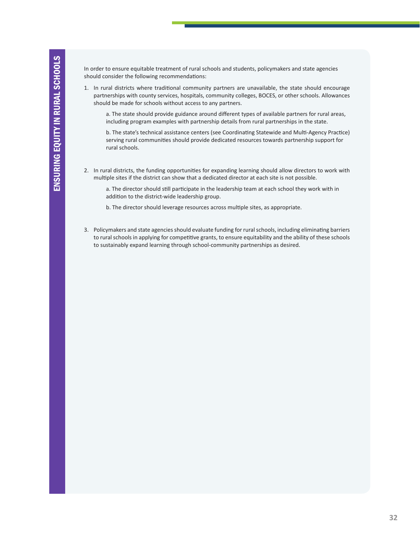In order to ensure equitable treatment of rural schools and students, policymakers and state agencies should consider the following recommendations:

1. In rural districts where traditional community partners are unavailable, the state should encourage partnerships with county services, hospitals, community colleges, BOCES, or other schools. Allowances should be made for schools without access to any partners.

a. The state should provide guidance around different types of available partners for rural areas, including program examples with partnership details from rural partnerships in the state.

b. The state's technical assistance centers (see Coordinating Statewide and Multi-Agency Practice) serving rural communities should provide dedicated resources towards partnership support for rural schools.

2. In rural districts, the funding opportunities for expanding learning should allow directors to work with multiple sites if the district can show that a dedicated director at each site is not possible.

a. The director should still participate in the leadership team at each school they work with in addition to the district-wide leadership group.

- b. The director should leverage resources across multiple sites, as appropriate.
- 3. Policymakers and state agencies should evaluate funding for rural schools, including eliminating barriers to rural schools in applying for competitive grants, to ensure equitability and the ability of these schools to sustainably expand learning through school-community partnerships as desired.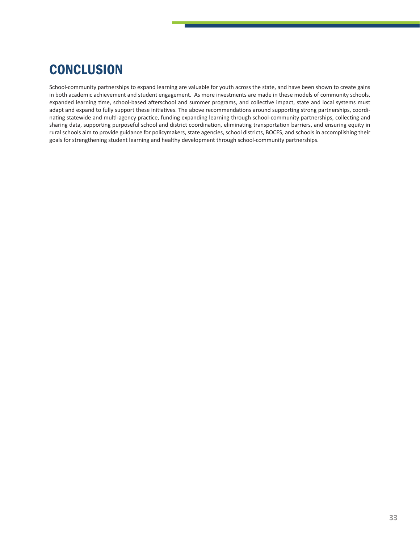## **CONCLUSION**

School-community partnerships to expand learning are valuable for youth across the state, and have been shown to create gains in both academic achievement and student engagement. As more investments are made in these models of community schools, expanded learning time, school-based afterschool and summer programs, and collective impact, state and local systems must adapt and expand to fully support these initiatives. The above recommendations around supporting strong partnerships, coordinating statewide and multi-agency practice, funding expanding learning through school-community partnerships, collecting and sharing data, supporting purposeful school and district coordination, eliminating transportation barriers, and ensuring equity in rural schools aim to provide guidance for policymakers, state agencies, school districts, BOCES, and schools in accomplishing their goals for strengthening student learning and healthy development through school-community partnerships.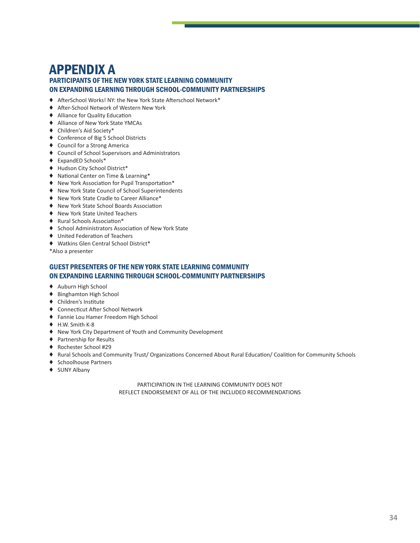### APPENDIX A PARTICIPANTS OF THE NEW YORK STATE LEARNING COMMUNITY ON EXPANDING LEARNING THROUGH SCHOOL-COMMUNITY PARTNERSHIPS

- ♦ AfterSchool Works! NY: the New York State Afterschool Network\*
- ♦ After-School Network of Western New York
- ♦ Alliance for Quality Education
- ♦ Alliance of New York State YMCAs
- ♦ Children's Aid Society\*
- ♦ Conference of Big 5 School Districts
- ♦ Council for a Strong America
- ♦ Council of School Supervisors and Administrators
- ♦ ExpandED Schools\*
- ♦ Hudson City School District\*
- ♦ National Center on Time & Learning\*
- ♦ New York Association for Pupil Transportation\*
- ♦ New York State Council of School Superintendents
- ♦ New York State Cradle to Career Alliance\*
- ♦ New York State School Boards Association
- ♦ New York State United Teachers
- ♦ Rural Schools Association\*
- ♦ School Administrators Association of New York State
- ♦ United Federation of Teachers
- ♦ Watkins Glen Central School District\*

\*Also a presenter

#### GUEST PRESENTERS OF THE NEW YORK STATE LEARNING COMMUNITY ON EXPANDING LEARNING THROUGH SCHOOL-COMMUNITY PARTNERSHIPS

- ♦ Auburn High School
- ♦ Binghamton High School
- ♦ Children's Institute
- ♦ Connecticut After School Network
- ♦ Fannie Lou Hamer Freedom High School
- ♦ H.W. Smith K-8
- ♦ New York City Department of Youth and Community Development
- ♦ Partnership for Results
- ♦ Rochester School #29
- ♦ Rural Schools and Community Trust/ Organizations Concerned About Rural Education/ Coalition for Community Schools
- ♦ Schoolhouse Partners
- ♦ SUNY Albany

PARTICIPATION IN THE LEARNING COMMUNITY DOES NOT REFLECT ENDORSEMENT OF ALL OF THE INCLUDED RECOMMENDATIONS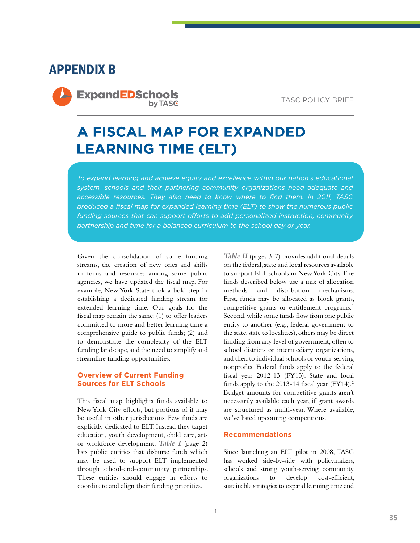### APPENDIX B

**ExpandEDSchools by TASC** 

TASC POLICY BRIEF

## **A FISCAL MAP FOR EXPANDED LEARNING TIME (ELT)**

*To expand learning and achieve equity and excellence within our nation's educational system, schools and their partnering community organizations need adequate and accessible resources. They also need to know where to find them. In 2011, TASC produced a fiscal map for expanded learning time (ELT) to show the numerous public funding sources that can support efforts to add personalized instruction, community partnership and time for a balanced curriculum to the school day or year.*

Given the consolidation of some funding streams, the creation of new ones and shifts in focus and resources among some public agencies, we have updated the fiscal map. For example, New York State took a bold step in establishing a dedicated funding stream for extended learning time. Our goals for the fiscal map remain the same: (1) to offer leaders committed to more and better learning time a comprehensive guide to public funds; (2) and to demonstrate the complexity of the ELT funding landscape, and the need to simplify and streamline funding opportunities.

#### **Overview of Current Funding Sources for ELT Schools**

This fiscal map highlights funds available to New York City efforts, but portions of it may be useful in other jurisdictions. Few funds are explicitly dedicated to ELT. Instead they target education, youth development, child care, arts or workforce development. *Table I* (page 2) lists public entities that disburse funds which may be used to support ELT implemented through school-and-community partnerships. These entities should engage in efforts to coordinate and align their funding priorities.

*Table II* (pages 3-7) provides additional details on the federal, state and local resources available to support ELT schools in New York City. The funds described below use a mix of allocation methods and distribution mechanisms. First, funds may be allocated as block grants, competitive grants or entitlement programs.<sup>1</sup> Second, while some funds flow from one public entity to another (e.g., federal government to the state, state to localities), others may be direct funding from any level of government, often to school districts or intermediary organizations, and then to individual schools or youth-serving nonprofits. Federal funds apply to the federal fiscal year 2012-13 (FY13). State and local funds apply to the  $2013-14$  fiscal year (FY14).<sup>2</sup> Budget amounts for competitive grants aren't necessarily available each year, if grant awards are structured as multi-year. Where available, we've listed upcoming competitions.

#### **Recommendations**

Since launching an ELT pilot in 2008, TASC has worked side-by-side with policymakers, schools and strong youth-serving community organizations to develop cost-efficient, sustainable strategies to expand learning time and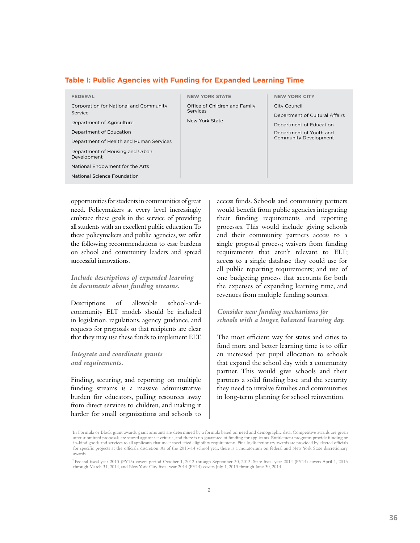#### **Table I: Public Agencies with Funding for Expanded Learning Time**

| FEDERAL                                                                                                                                                                                | <b>NEW YORK STATE</b>                                       | <b>NEW YORK CITY</b>                                                      |
|----------------------------------------------------------------------------------------------------------------------------------------------------------------------------------------|-------------------------------------------------------------|---------------------------------------------------------------------------|
| Corporation for National and Community<br>Service<br>Department of Agriculture                                                                                                         | Office of Children and Family<br>Services<br>New York State | City Council<br>Department of Cultural Affairs<br>Department of Education |
| Department of Education<br>Department of Health and Human Services<br>Department of Housing and Urban<br>Development<br>National Endowment for the Arts<br>National Science Foundation |                                                             | Department of Youth and<br><b>Community Development</b>                   |
|                                                                                                                                                                                        |                                                             |                                                                           |

opportunities for students in communities of great need. Policymakers at every level increasingly embrace these goals in the service of providing all students with an excellent public education. To these policymakers and public agencies, we offer the following recommendations to ease burdens on school and community leaders and spread successful innovations.

#### *Include descriptions of expanded learning in documents about funding streams.*

Descriptions of allowable school-andcommunity ELT models should be included in legislation, regulations, agency guidance, and requests for proposals so that recipients are clear that they may use these funds to implement ELT.

#### *Integrate and coordinate grants and requirements.*

Finding, securing, and reporting on multiple funding streams is a massive administrative burden for educators, pulling resources away from direct services to children, and making it harder for small organizations and schools to access funds. Schools and community partners would benefit from public agencies integrating their funding requirements and reporting processes. This would include giving schools and their community partners access to a single proposal process; waivers from funding requirements that aren't relevant to ELT; access to a single database they could use for all public reporting requirements; and use of one budgeting process that accounts for both the expenses of expanding learning time, and revenues from multiple funding sources.

#### *Consider new funding mechanisms for schools with a longer, balanced learning day.*

The most efficient way for states and cities to fund more and better learning time is to offer an increased per pupil allocation to schools that expand the school day with a community partner. This would give schools and their partners a solid funding base and the security they need to involve families and communities in long-term planning for school reinvention.

<sup>&</sup>lt;sup>1</sup>In Formula or Block grant awards, grant amounts are determined by a formula based on need and demographic data. Competitive awards are given after submitted proposals are scored against set criteria, and there is no guarantee of funding for applicants. Entitlement programs provide funding or in-kind goods and services to all applicants that meet speci¬fied eligibility requirements. Finally, discretionary awards are provided by elected officials for specific projects at the official's discretion. As of the 2013-14 school year, there is a moratorium on federal and New York State discretionary awards.

 <sup>2</sup> Federal fiscal year 2013 (FY13) covers period October 1, 2012 through September 30, 2013. State fiscal year 2014 (FY14) covers April 1, 2013 through March 31, 2014, and New York City fiscal year 2014 (FY14) covers July 1, 2013 through June 30, 2014.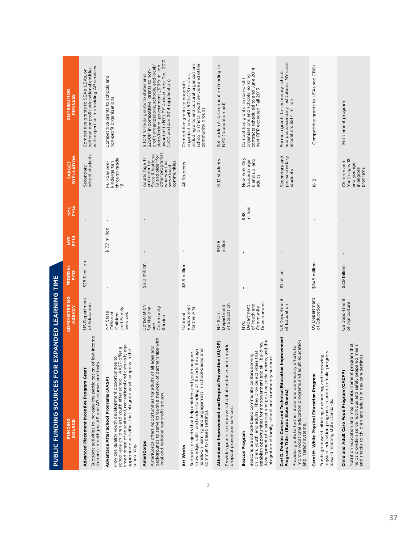| <b>PUBLIC FUNDING SOURCES FOR</b>                                                                                                                                                                                                                                                                                      | EXPANDED LEARNING TIME                                             |                 |                  |                    |                                                                                                                                          |                                                                                                                                                                                                                                                      |
|------------------------------------------------------------------------------------------------------------------------------------------------------------------------------------------------------------------------------------------------------------------------------------------------------------------------|--------------------------------------------------------------------|-----------------|------------------|--------------------|------------------------------------------------------------------------------------------------------------------------------------------|------------------------------------------------------------------------------------------------------------------------------------------------------------------------------------------------------------------------------------------------------|
| <b>FUNDING</b><br>SOURCE                                                                                                                                                                                                                                                                                               | <b>ADMINISTERING</b><br>AGENCY                                     | FEDERAL<br>FY13 | NYS<br>FY14      | <b>NYC</b><br>FY14 | <b>TARGET</b><br>POPULATION                                                                                                              | <b>DISTRIBUTION<br/>PROCESS</b>                                                                                                                                                                                                                      |
| Supports activities to increase the participation of low-income<br>students in both pre-AP and AP courses and tests<br>Advanced Placement Incentive Program Grant                                                                                                                                                      | US Department<br>of Education                                      | \$28.5 million  |                  |                    | school students<br>Secondary                                                                                                             | national nonprofit educational entities<br>with expertise in providing AP services<br>ŏ<br>Competitive grants to SEAs, LEAs,                                                                                                                         |
| broad range of educational, recreational and culturally age-<br>offer a<br>in the<br>S<br>Provides quality youth development opportunities<br>school-age children and youth after school. AASP<br>appropriate activities that integrate what happens<br>Advantage After School Programs (AASP)<br>school day.          | and Family<br><b>VY State</b><br>Office of<br>Children<br>Services |                 | \$17.7 million   | $\mathbf{I}$       | through grade<br>12<br>kindergarten<br>Full-day pre-                                                                                     | Competitive grants to schools and<br>non-profit organizations                                                                                                                                                                                        |
| backgrounds to serve through a network of partnerships with<br>AmeriCorps offers opportunities for adults of all ages and<br>local and national nonprofit groups.<br><b>AmeriCorps</b>                                                                                                                                 | Corporation<br>for National<br>Community<br>Service<br>and         | \$310 million   |                  |                    | and older for<br>State & National;<br>18 and older for<br>other programs)<br>Adults (age 17<br>communities<br>who want to<br>serve local | awarded in NY) FY14 deadlines: Dec. 2013<br>state/federal government (\$19.9 million<br>\$110M formula grants to states and<br>\$200M in competitive grants to non-<br>profit_organizations, schools, and local/<br>(LOI) and Jan 2014 (application) |
| hands-on learning and engagement in school-based and<br>knowledge, skills, and understanding of the arts through<br>Supports projects that help children and youth acquire<br>community-based settings.<br>Art Works                                                                                                   | Endowment<br>for the Arts<br>National                              | \$5.9 million   | $\mathbf{I}$     |                    | All Students                                                                                                                             | including arts and cultural organizations,<br>school districts, youth service and other<br>Competitive grants to nonprofit<br>organizations with 501(c)(3) status,<br>community groups                                                               |
| Attendance Improvement and Dropout Prevention (AI/DP)<br>Provides grants to improve school attendance and provide<br>dropout prevention services.                                                                                                                                                                      | of Education<br>Department<br>NY State                             |                 | millon<br>\$50.5 |                    | K-12 students                                                                                                                            | Set-aside of state education funding to<br>NYC (foundation aid)                                                                                                                                                                                      |
| development of character and positive social norms, and the<br>establish opportunities for empowerment and skill building<br>Beacons are school-based community centers serving<br>children, youth, and adults. They provide activities that<br>integration of family, school and community support.<br>Beacon Program | Development<br>of Youth and<br>Department<br>Community<br>NYC      | f,              |                  | million<br>\$48    | New York City<br>Students age<br>6 and up, and<br>adults                                                                                 | contracts scheduled to end June 2014;<br>next RFP expected Fall 2013<br>organizations and schools; existing<br>Competitive grants to non-profit                                                                                                      |
| Carl D. Perkins Career and Technical Education Improvement<br>improve vocational education programs and adult education<br>efforts to<br>Provides grants to further State and community<br>Program: Title I (Basic State Grants)<br>and literacy systems.                                                              | US Department<br>of Education                                      | \$1 billion     |                  |                    | Secondary and<br>postsecondary<br>students                                                                                               | and postsecondary institutions; NY state<br>Formula grants to secondary schools<br>allocation: \$51.4 million                                                                                                                                        |
| physical education programs in order to make progress<br>Funds go toward initiating, expanding, and improving<br>Carol M. White Physical Education Program<br>toward meeting state standards.                                                                                                                          | US Department<br>of Education                                      | \$74.5 million  |                  |                    | $K-12$                                                                                                                                   | Competitive grants to LEAs and CBOs                                                                                                                                                                                                                  |
| Nutrition education and meal reimbursement program that<br>helps providers serve nutritious and safely prepared meals<br>and snacks to children and adults in day care settings.<br>Child and Adult Care Food Program (CACFP)                                                                                          | US Department<br>of Agriculture                                    | \$2.9 billion   |                  |                    | Children and<br>Youth ages 18<br>and younger<br>in eligible<br>programs                                                                  | Entitlement program                                                                                                                                                                                                                                  |

3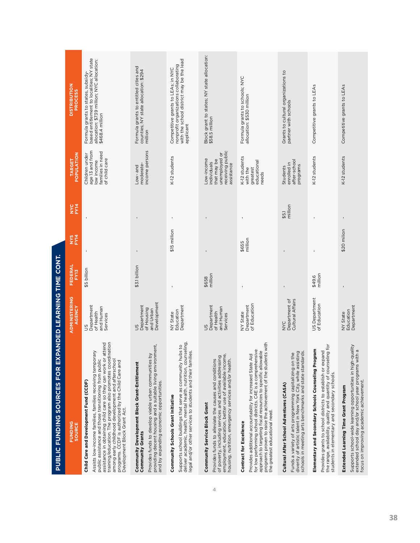| <b>FUNDING</b><br>SOURCE                                                                                                                                                                                                                                                                                                                                                                                                                      | <b>ADMINISTERING</b><br>AGENCY                                    | <b>FEDERAL</b><br>FY13 | <b>NYS</b><br>FYT4 | <b>NA</b>        | <b>POPULATION</b><br><b>TARGET</b>                                                          | <b>DISTRIBUTION</b><br><b>PROCESS</b>                                                                                                            |
|-----------------------------------------------------------------------------------------------------------------------------------------------------------------------------------------------------------------------------------------------------------------------------------------------------------------------------------------------------------------------------------------------------------------------------------------------|-------------------------------------------------------------------|------------------------|--------------------|------------------|---------------------------------------------------------------------------------------------|--------------------------------------------------------------------------------------------------------------------------------------------------|
| ination<br>attend<br>Assists low-income families, families receiving temporary<br>training/education. The program also promotes coord<br>assistance in obtaining child care so they can work or<br>public assistance and those transitioning from public<br>among early childhood development and afterschool<br>programs. CCDF is authorized by the Child Care and<br>Child Care and Development Fund (CCDF)<br>Development Block Grant Act. | Department<br>and Human<br>of Health<br>Services<br>50            | \$5 billion            | $\mathbf I$        |                  | age 13 and from<br>families in need<br>Children under<br>of child care<br>low income        | based entitlement to localities; NY state<br>allocation: \$739 million; NYC allocation:<br>Formula grants to states, subsidy-<br>\$468.4 million |
| providing decent housing and a suitable living environment,<br>Provides funds to develop viable urban communities by<br>Community Development Block Grant-Entitlement<br>and by expanding economic opportunities.<br>Community Grants                                                                                                                                                                                                         | Development<br>Department<br>of Housing<br>and Urban<br>SC        | \$3.1 billion          | $\blacksquare$     |                  | income persons<br>moderate-<br>Low-and                                                      | Formula grants to entitled cities and<br>counties; NY state allocation: \$294<br>million                                                         |
| deliver academic, health, mental health, nutrition, counseling,<br>Supports school buildings that serve as community hubs to<br>legal and/or other services to students and their families.<br>Community Schools Grant Initiative                                                                                                                                                                                                             | Department<br>Education<br>NY State                               | $\blacksquare$         | \$15 million       | $\blacksquare$   | K-12 students                                                                               | with the school district may be the lead<br>nonprofit organizations collaborating<br>Competitive grants to LEAs; in NYC<br>applicant             |
| employment, education, better use of available income,<br>of poverty, including services and activities addressing<br>housing, nutrition, emergency services and/or health.<br>Provides funds to alleviate the causes and conditions<br>Community Service Block Grant                                                                                                                                                                         | Department<br>and Human<br>of Health<br>Services<br>$\frac{2}{3}$ | million<br>\$658       |                    |                  | receiving public<br>unemployed or<br>Low-income<br>that may be<br>individuals<br>assistance | Block grant to states; NY state allocation:<br>\$58.5 million                                                                                    |
| programs proven to raise the achievement of the students with<br>for low performing school districts. C4E is a comprehensive<br>approach to targeting fiscal resources to specific allowable<br>Provides additional accountability for increased State Aid<br>the greatest educational need.<br>Contract for Excellence                                                                                                                       | of Education<br>Department<br>NY State                            |                        | million<br>\$655   |                  | K-12 students<br>educational<br>with the<br>greatest<br>needs                               | Formula grants to schools; NYC<br>allocation: \$530 million                                                                                      |
| diverity of artistic talent in New York City, while assisting<br>schools in meeting arts benchmarks and state standards.<br>$\underline{\omega}$<br>Funds a variety of arts programming capitalizing on th<br>Cultural After School Adventures (CASA)                                                                                                                                                                                         | Department of<br>Cultural Affairs<br>NYC                          |                        |                    | million<br>\$5.1 | after-schoo<br>enrolled in<br>programs<br>Students                                          | Grants to cultural organizations to<br>partner with schools                                                                                      |
| the range, availability, quality and quantity of counseling for<br>ram<br>Provides grants to school districts to establish or expand<br>Elementary and Secondary Schools Counseling Prog<br>students in elementary and secondary schools.                                                                                                                                                                                                     | US Department<br>of Education                                     | million<br>\$49.6      |                    |                  | K-12 students                                                                               | Competitive grants to LEAs                                                                                                                       |
| Supports school-wide learning opportunities in high-quality<br>extended school day and/or school year programs with a<br>focus on improving academic achievement.<br>Extended Learning Time Grant Program                                                                                                                                                                                                                                     | Department<br>Education<br>NY State                               | $\blacksquare$         | \$20 milion        | $\mathbf I$      | K-12 students                                                                               | Competitive grants to LEAs                                                                                                                       |

4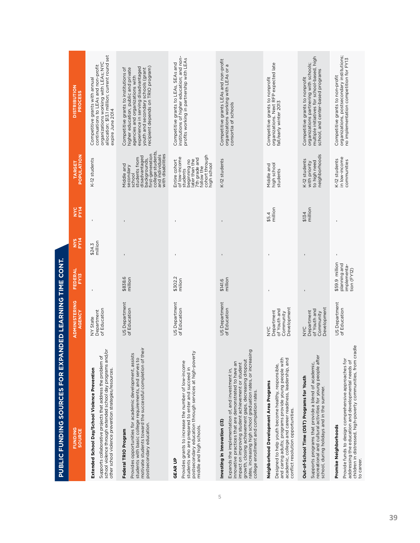PUBLIC FUNDING SOURCES FOR EXPANDED LEARNING TIME CONT. **PUBLIC FUNDING SOURCES FOR EXPANDED LEARNING TIME CONT.**

| <b>DISTRIBUTION</b><br><b>PROCESS</b> | allocation: \$13.1 milllion; current round set<br>organizations working with LEAs; NYC<br>continuations to LEAs and non-profit<br>Competitive grants with annual<br>expire June 2014                                                     | recipient depends on TRIO program)<br>experience in serving disadvantaged<br>higher education, public and private<br>youth and secondary schools (grant<br>Competitive grants to institutions of<br>agencies and organizations with    | institutions of higher education; and non-<br>profits working in partnership with LEAs<br>Competitive grants to LEAs, SEAs and                                                                                      | Competitive grants LEAs and non-profit<br>organizations working with LEAs or a<br>consortia of schools                                                                                                                                                                                                                                                                | organizations. Next RFP expected late<br>Competitive grants to nonprofit<br>fall/early winter 2013                                                                                                                                                      | multiple initiatives for school-based, high<br>organizations partnering with schools;<br>school, and center-based programs<br>Competitive grants to nonprofit                                                       | organizations, postsecondary institutions;<br>no implementation competition for FY13<br>Competitive grants to non-profit                                                                                              |
|---------------------------------------|------------------------------------------------------------------------------------------------------------------------------------------------------------------------------------------------------------------------------------------|----------------------------------------------------------------------------------------------------------------------------------------------------------------------------------------------------------------------------------------|---------------------------------------------------------------------------------------------------------------------------------------------------------------------------------------------------------------------|-----------------------------------------------------------------------------------------------------------------------------------------------------------------------------------------------------------------------------------------------------------------------------------------------------------------------------------------------------------------------|---------------------------------------------------------------------------------------------------------------------------------------------------------------------------------------------------------------------------------------------------------|---------------------------------------------------------------------------------------------------------------------------------------------------------------------------------------------------------------------|-----------------------------------------------------------------------------------------------------------------------------------------------------------------------------------------------------------------------|
| POPULATION<br><b>TARGET</b>           | K-12 students                                                                                                                                                                                                                            | college students,<br>first-generation<br>with disabilities<br>and individuals<br>disadvantaged<br>students from<br>backgrounds,<br>Middle and<br>secondary<br>school                                                                   | cohort through<br>Entire cohort<br>of low-income<br>students<br>7th grade and<br>later than the<br>beginning no<br>high school<br>follow the                                                                        | K-12 students                                                                                                                                                                                                                                                                                                                                                         | high school<br>Middle and<br>students                                                                                                                                                                                                                   | neighborhoods<br>K-12 students<br>to high need<br>with priority                                                                                                                                                     | in low-income<br>K-12 students<br>communities                                                                                                                                                                         |
| <b>NYC</b><br>FYT4                    |                                                                                                                                                                                                                                          |                                                                                                                                                                                                                                        |                                                                                                                                                                                                                     |                                                                                                                                                                                                                                                                                                                                                                       | million<br>\$5.4                                                                                                                                                                                                                                        | million<br>\$134                                                                                                                                                                                                    |                                                                                                                                                                                                                       |
| <b>NYS</b><br>FYM                     | million<br>\$24.3                                                                                                                                                                                                                        |                                                                                                                                                                                                                                        |                                                                                                                                                                                                                     |                                                                                                                                                                                                                                                                                                                                                                       |                                                                                                                                                                                                                                                         |                                                                                                                                                                                                                     |                                                                                                                                                                                                                       |
| FEDERAL<br>FY13                       |                                                                                                                                                                                                                                          | \$838.6<br>million                                                                                                                                                                                                                     | \$302.2<br>milion                                                                                                                                                                                                   | million<br>\$141.6                                                                                                                                                                                                                                                                                                                                                    |                                                                                                                                                                                                                                                         |                                                                                                                                                                                                                     | \$59.9 million<br>planning and<br>implementa-<br>tion (FY12)                                                                                                                                                          |
| <b>ADMINISTERING</b><br>AGENCY        | of Education<br>Department<br>NY State                                                                                                                                                                                                   | US Department<br>of Education                                                                                                                                                                                                          | US Department<br>of Education                                                                                                                                                                                       | US Department<br>of Education                                                                                                                                                                                                                                                                                                                                         | Development<br>of Youth and<br>Department<br>Community<br><b>NAC</b>                                                                                                                                                                                    | Development<br>of Youth and<br>Department<br>Community<br><b>SAN</b>                                                                                                                                                | US Department<br>of Education                                                                                                                                                                                         |
| <b>FUNDING</b><br>SOURCE              | school violence through extended school day programs and/or<br>ð<br>Supports collaborative projects that address the problem<br>Extended School Day/School Violence Prevention<br>other school violence prevention strategies/resources. | motivate students toward the successful completion of their<br>Provides opportunities for academic development, assists<br>students with basic college requirements, and serves to<br>postsecondary education.<br>Federal TRIO Program | postsecondary education through services at high-poverty<br>Provides grants to increase the number of low-income<br>students who are prepared to enter and succeed in<br>middle and high schools.<br><b>GEAR UP</b> | rates, increasing high school graduation rates, or increasing<br>impact on improving student achievement or student<br>growth, closing achievement gaps, decreasing dropout<br>innovative practices that are demonstrated to have an<br>Expands the implementation of, and investment in,<br>college enrollment and completion rates.<br>Investing in Innovation (i3) | and caring adults; programs provide young people with<br>academic, college and career readiness, leadership, and<br>Designed to help youth become healthy, responsible,<br>Neighborhood Development Area Programs<br>conflict resolution opportunities. | ter<br>recreational and cultural activities for young people af<br>Supports programs that provide a blend of academic,<br>Out-of-School Time (OST) Programs for Youth<br>school, during holidays and in the summer. | cradle<br>Provide funds to design comprehensive approaches fo<br>addressing the education and developmental needs of<br>children in distressed, high-poverty communities, from<br>Promise Neighborhoods<br>to career. |

5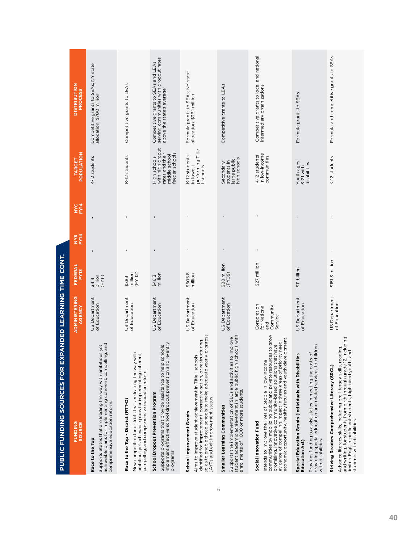| <b>PUBLIC FUNDING SOURCES FOR EXPANDED LEARNING TIME CONT.</b>                                                                                                                                                                                                                                                                                  |                                                            |                                          |                    |           |                                                                                        |                                                                                                            |
|-------------------------------------------------------------------------------------------------------------------------------------------------------------------------------------------------------------------------------------------------------------------------------------------------------------------------------------------------|------------------------------------------------------------|------------------------------------------|--------------------|-----------|----------------------------------------------------------------------------------------|------------------------------------------------------------------------------------------------------------|
| <b>FUNDING</b><br>SOURCE                                                                                                                                                                                                                                                                                                                        | <b>ADMINISTERING</b><br>AGENCY                             | FEDERAL<br>FY13                          | <b>NYS</b><br>FY14 | <b>NA</b> | <b>POPULATION</b><br>TARGET                                                            | <b>DISTRIBUTION</b><br><b>PROCESS</b>                                                                      |
| achievable plans for implementing coherent, compelling, and<br>Supports States that are leading the way with ambitious yet<br>comprehensive education reform.<br>Race to the Top                                                                                                                                                                | US Department<br>of Education                              | \$4.4<br>billion<br>(FY11)               |                    |           | K-12 students                                                                          | Competitive grants to SEAs; NY state<br>allocation: \$700 million                                          |
| New competition for districts that are leading the way with<br>ambitious yet achievable plans for implementing coherent,<br>compelling, and comprehensive education reform.<br>Race to the Top - District (RTT-D)                                                                                                                               | US Department<br>of Education                              | (FY12)<br>million<br>\$383               |                    |           | K-12 students                                                                          | Competitive grants to LEAs                                                                                 |
| Supports programs that provide assistance to help schools<br>implement effective school dropout prevention and re-entry<br>School Dropout Prevention Program<br>programs.                                                                                                                                                                       | US Department<br>of Education                              | million<br>\$46.3                        |                    |           | with high droput<br>feeder schools<br>rates and their<br>middle school<br>High schools | serving communities with dropout rates<br>Competitive grants to SEAs and LEAs<br>above the state's average |
| so as to enable those schools to make adequate yearly progress.<br>(AYP) and exit improvement status.<br>Aims to improve student achievement in Title I schools<br>identified for improvement, corrective action, or restructuring<br>School Improvement Grants                                                                                 | US Department<br>of Education                              | \$505.8<br>million                       |                    |           | performing Title<br>K-12 students<br>in lowest<br>I schools                            | Formula grants to SEAs; NY state<br>allocation; \$36.1 million                                             |
| Supports the implementation of SLCs and activities to improve<br>student academic achievement in large public high schools with<br>enrollments of 1,000 or more students.<br>Smaller Learning Communities                                                                                                                                       | US Department<br>of Education                              | $\blacksquare$<br>\$88 million<br>(FY09) |                    | ٠         | high schools<br>large public<br>students in<br>Secondary                               | Competitive grants to LEAs                                                                                 |
| communities by mobilizing public and private resources to grow<br>economic opportunity, healthy futures and youth development.<br>evidence of compelling impact in three areas of priority need:<br>promising, innovative community-based solutions that have<br>Intends to improve the lives of people in low-income<br>Social Innovation Fund | Corporation<br>for National<br>Community<br>Service<br>and | ı<br>\$27 million                        |                    |           | in low-income<br>K-12 students<br>communities                                          | Competitive grants to local and national<br>intermediary organizations                                     |
| ildren<br>Provides funding to assist states in meeting the costs of<br>Special Education Grants (Individuals with Disabilities<br>providing special education and related services to ch<br>with disabilities.<br><b>Education Act)</b>                                                                                                         | US Department<br>of Education                              | \$11 billion                             |                    |           | Youth ages<br>3-21 with<br>disabilities                                                | Formula grants to SEAs                                                                                     |
| including<br>Advance literacy skills, including pre-literacy skills, reading,<br>and writing, for students from birth through grade 12, inclu<br>limited English-proficient students, high-need youth, and<br>Striving Readers Comprehensive Literacy (SRCL)<br>students with disabilities.                                                     | US Department<br>of Education                              | ı<br>\$151.3 million                     |                    |           | K-12 students                                                                          | Formula and competitive grants to SEAs                                                                     |

6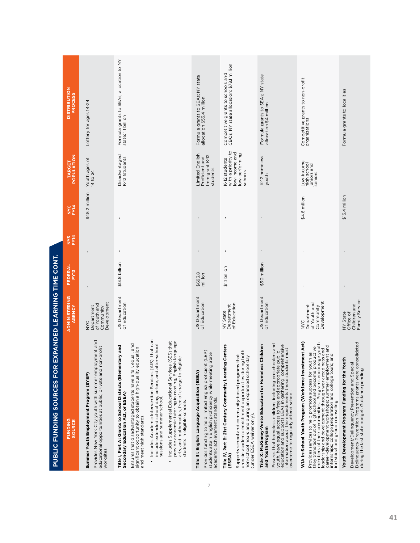| <b>FUNDING</b><br>SOURCE                                                                                                                                                                                                                                                                                                                                                                                                                                                                                                                                                                                                                        | <b>ADMINISTERING</b><br>AGENCY                                | FEDERAL<br>FY13    | NYS<br>FY14    | <b>NYC</b><br>FY14 | <b>POPULATION</b><br>TARGET                                                        | <b>DISTRIBUTION</b><br><b>PROCESS</b>                                          |
|-------------------------------------------------------------------------------------------------------------------------------------------------------------------------------------------------------------------------------------------------------------------------------------------------------------------------------------------------------------------------------------------------------------------------------------------------------------------------------------------------------------------------------------------------------------------------------------------------------------------------------------------------|---------------------------------------------------------------|--------------------|----------------|--------------------|------------------------------------------------------------------------------------|--------------------------------------------------------------------------------|
| Provides New York City youth with summer employment and<br>educational opportunities at public, private and non-profit<br>Summer Youth Employment Program (SYEP)<br>worksites.                                                                                                                                                                                                                                                                                                                                                                                                                                                                  | Development<br>of Youth and<br>Department<br>Community<br>NYC |                    |                | \$45.2 million     | Youth ages of<br>14 to 24                                                          | Lottery for ages 14-24                                                         |
| Includes Academic Intervention Services (AIS) that can<br>provide academic tutoring in reading, English language<br>Includes Supplemental Educational Services (SES) that<br>Ensures that disadvantaged students have a fair, equal, and<br>include extended school day, before, and after-school<br>Title I, Part A: Grants to School Districts (Elementary and<br>significant opportunity to obtain a high-quality education<br>$\frac{0}{2}$<br>arts, and mathematics, free of charge to eligib<br>Secondary Education Act, or ESEA)<br>sessions and summer school<br>students in eligible schools.<br>and meet high standards.<br>$\bullet$ | US Department<br>of Education                                 | \$13.8 billion     | $\blacksquare$ | $\mathbf{I}$       | Disadvantaged<br>K-12 fstudents                                                    | Formula grants to SEAs; allocation to NY<br>state: 1.1 billion                 |
| Provides funding to help limited English proficient (LEP)<br>tate<br>students attain English proficiency while meeting S<br>Title III: English Language Acquisition (ESEA)<br>academic achievement standards.                                                                                                                                                                                                                                                                                                                                                                                                                                   | <b>US Department</b><br>of Education                          | \$693.8<br>million |                |                    | Limited English<br>Immigrant K-12<br>Proficient and<br>students                    | Formula grants to SEAs; NY state<br>allocation \$55.4 million                  |
| Centers<br>provide academic enrichment opportunities during both<br>Supports school and community-based programs that<br>non-school hours and during an expanded school day<br>Title IV, Part B: 21st Century Community Learning<br>(under ESEA waiver only).<br>(ESEA)                                                                                                                                                                                                                                                                                                                                                                         | of Education<br>NY State<br>Department                        | \$1.1 billion      |                |                    | with a priority to<br>low-income and<br>low-performing<br>K-12 students<br>schools | Competitive grants to schools and<br>CBOs; NY state allocation; \$78.1 million |
| Ensures that homeless children, including preschoolers and<br>youth, have equal access to free and appropriate public<br>education and supports LEAs in gathering comprehensive<br>education and supports LEAs in gathering comprehensive<br>overcome to regularly attend school, these students must<br>Title X: McKinney-Vento Education for Homeless Children<br>and Youth Program                                                                                                                                                                                                                                                           | US Department<br>of Education                                 | \$50 million       | $\blacksquare$ |                    | K-12 homeless<br>youth                                                             | Formula grants to SEAs; NY state<br>allocation \$4 million                     |
| WIA In-School Youth Program (Workforce Investment Act)<br>Provides services to help promote success for youth as<br>they transition out of high school and become productive<br>leadership and development through work readiness and<br>leadership and development through work readiness and<br>career-development workshops; summer employment and<br>internships; college preparation and college tours; and<br>individual and group counseling.                                                                                                                                                                                            | Development<br>of Youth and<br>Department<br>Community<br>NYC |                    |                | \$4.6 milion       | Low-income<br>high school<br>juniors and<br>seniors                                | Competitive grants to non-profit<br>organizations                              |
| Development/Delinquency Prevention and Special<br>Delinquency Prevention Programs grants were consolidated<br>£<br>Youth Development Program Funding for the Your<br>during the last state budget. Guidance pending.                                                                                                                                                                                                                                                                                                                                                                                                                            | Family Service<br>Children and<br>NY State<br>Office of       |                    |                | \$15.4 milion      |                                                                                    | Formula grants to localities                                                   |

7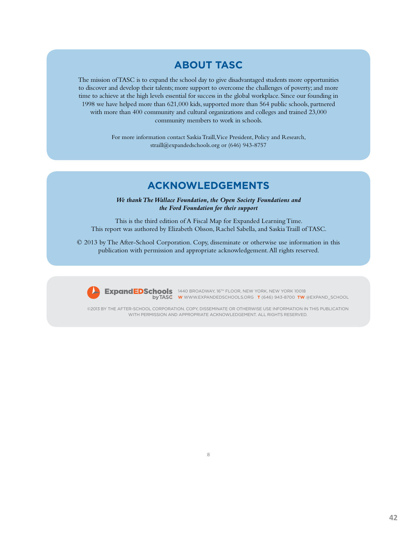### **ABOUT TASC**

The mission of TASC is to expand the school day to give disadvantaged students more opportunities to discover and develop their talents; more support to overcome the challenges of poverty; and more time to achieve at the high levels essential for success in the global workplace. Since our founding in 1998 we have helped more than 621,000 kids, supported more than 564 public schools, partnered with more than 400 community and cultural organizations and colleges and trained 23,000 community members to work in schools.

> For more information contact Saskia Traill, Vice President, Policy and Research, straill@expandedschools.org or (646) 943-8757

### **ACKNOWLEDGEMENTS**

*We thank The Wallace Foundation, the Open Society Foundations and the Ford Foundation for their support* 

This is the third edition of A Fiscal Map for Expanded Learning Time. This report was authored by Elizabeth Olsson, Rachel Sabella, and Saskia Traill of TASC.

© 2013 by The After-School Corporation. Copy, disseminate or otherwise use information in this publication with permission and appropriate acknowledgement. All rights reserved.



ExpandEDSchools 1440 BROADWAY, 16<sup>TH</sup> FLOOR, NEW YORK, NEW YORK 10018 **W** WWW.EXPANDEDSCHOOLS.ORG **T** (646) 943-8700 **TW** @EXPAND\_SCHOOL

©2013 BY THE AFTER-SCHOOL CORPORATION. COPY, DISSEMINATE OR OTHERWISE USE INFORMATION IN THIS PUBLICATION WITH PERMISSION AND APPROPRIATE ACKNOWLEDGEMENT. ALL RIGHTS RESERVED.

8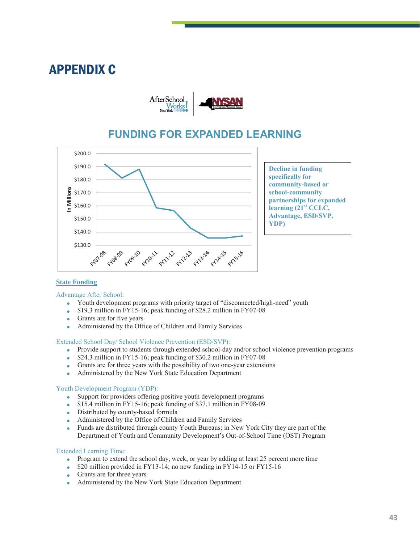## APPENDIX C



### **FUNDING FOR EXPANDED LEARNING**



**Decline in funding specifically for community-based or school-community partnerships for expanded learning (21st CCLC, Advantage, ESD/SVP, YDP)**

#### **State Funding**

#### Advantage After School:

- Youth development programs with priority target of "disconnected/high-need" youth
- \$19.3 million in FY15-16; peak funding of \$28.2 million in FY07-08
- Grants are for five years
- Administered by the Office of Children and Family Services

#### Extended School Day/ School Violence Prevention (ESD/SVP):

- Provide support to students through extended school-day and/or school violence prevention programs
- \$24.3 million in FY15-16; peak funding of \$30.2 million in FY07-08
- Grants are for three years with the possibility of two one-year extensions
- Administered by the New York State Education Department

#### Youth Development Program (YDP):

- Support for providers offering positive youth development programs<br>• \$15.4 million in FY15-16; peak funding of \$37.1 million in FY08-09
- \$15.4 million in FY15-16; peak funding of \$37.1 million in FY08-09
- Distributed by county-based formula
- Administered by the Office of Children and Family Services
- Funds are distributed through county Youth Bureaus; in New York City they are part of the Department of Youth and Community Development's Out-of-School Time (OST) Program

#### Extended Learning Time:

- Program to extend the school day, week, or year by adding at least 25 percent more time
- \$20 million provided in FY13-14; no new funding in FY14-15 or FY15-16
- Grants are for three years
- Administered by the New York State Education Department